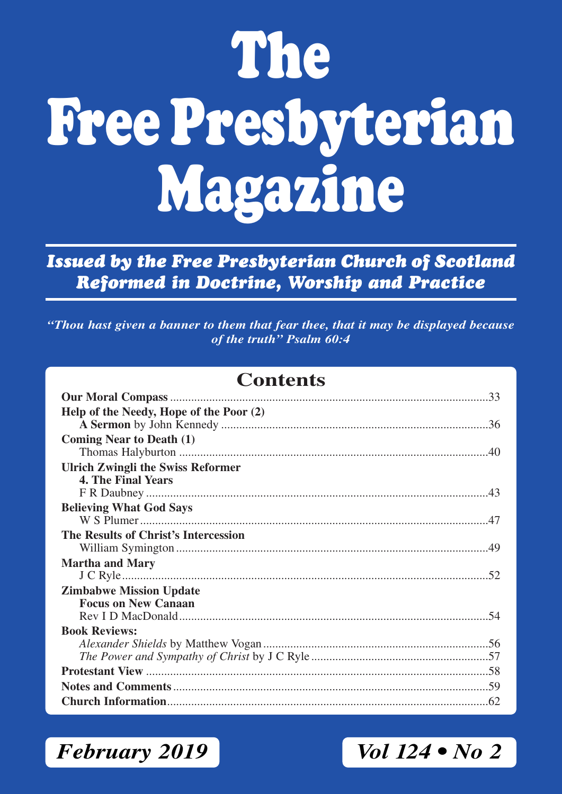# **The Free Presbyterian Magazine**

*Issued by the Free Presbyterian Church of Scotland Reformed in Doctrine, Worship and Practice*

*"Thou hast given a banner to them that fear thee, that it may be displayed because of the truth" Psalm 60:4*

### **Contents**

| Help of the Needy, Hope of the Poor (2)  |
|------------------------------------------|
|                                          |
| Coming Near to Death (1)                 |
|                                          |
| <b>Ulrich Zwingli the Swiss Reformer</b> |
| <b>4. The Final Years</b>                |
|                                          |
| <b>Believing What God Says</b>           |
|                                          |
| The Results of Christ's Intercession     |
|                                          |
| <b>Martha and Mary</b>                   |
|                                          |
| <b>Zimbabwe Mission Update</b>           |
| <b>Focus on New Canaan</b>               |
|                                          |
| <b>Book Reviews:</b>                     |
|                                          |
|                                          |
|                                          |
|                                          |
|                                          |



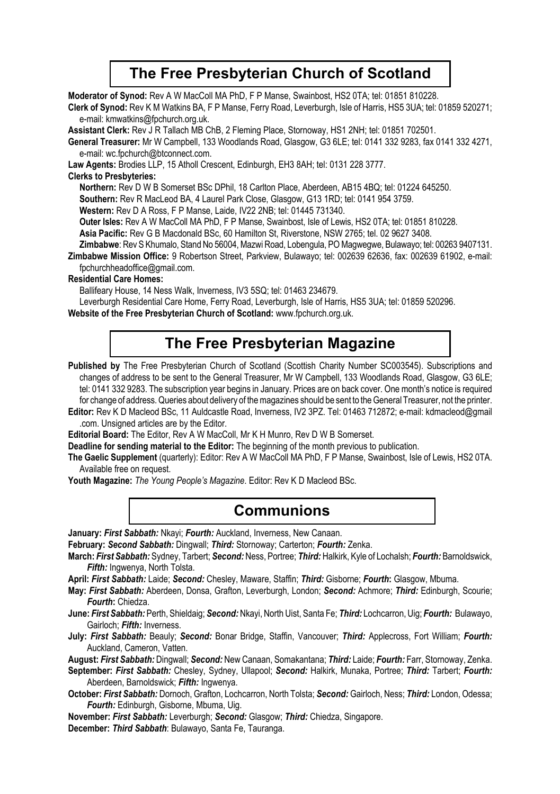### **The Free Presbyterian Church of Scotland**

**Moderator of Synod:** Rev A W MacColl MA PhD, F P Manse, Swainbost, HS2 0TA; tel: 01851 810228.

**Clerk of Synod:** Rev K M Watkins BA, F P Manse, Ferry Road, Leverburgh, Isle of Harris, HS5 3UA; tel: 01859 520271; e-mail: kmwatkins@fpchurch.org.uk.

**Assistant Clerk:** Rev J R Tallach MB ChB, 2 Fleming Place, Stornoway, HS1 2NH; tel: 01851 702501.

**General Treasurer:** Mr W Campbell, 133 Woodlands Road, Glasgow, G3 6LE; tel: 0141 332 9283, fax 0141 332 4271, e-mail: wc.fpchurch@btconnect.com.

**Law Agents:** Brodies LLP, 15 Atholl Crescent, Edinburgh, EH3 8AH; tel: 0131 228 3777.

#### **Clerks to Presbyteries:**

**Northern:** Rev D W B Somerset BSc DPhil, 18 Carlton Place, Aberdeen, AB15 4BQ; tel: 01224 645250.

**Southern:** Rev R MacLeod BA, 4 Laurel Park Close, Glasgow, G13 1RD; tel: 0141 954 3759.

**Western:** Rev D A Ross, F P Manse, Laide, IV22 2NB; tel: 01445 731340.

**Outer lsles:** Rev A W MacColl MA PhD, F P Manse, Swainbost, Isle of Lewis, HS2 0TA; tel: 01851 810228.

**Asia Pacific:** Rev G B Macdonald BSc, 60 Hamilton St, Riverstone, NSW 2765; tel. 02 9627 3408.

**Zimbabwe**: Rev S Khumalo, Stand No 56004, Mazwi Road, Lobengula, PO Magwegwe, Bulawayo; tel: 00263 9407131.

**Zimbabwe Mission Office:** 9 Robertson Street, Parkview, Bulawayo; tel: 002639 62636, fax: 002639 61902, e-mail: fpchurchheadoffice@gmail.com.

#### **Residential Care Homes:**

Ballifeary House, 14 Ness Walk, Inverness, IV3 5SQ; tel: 01463 234679.

Leverburgh Residential Care Home, Ferry Road, Leverburgh, Isle of Harris, HS5 3UA; tel: 01859 520296.

**Website of the Free Presbyterian Church of Scotland:** www.fpchurch.org.uk.

### **The Free Presbyterian Magazine**

Published by The Free Presbyterian Church of Scotland (Scottish Charity Number SC003545). Subscriptions and changes of address to be sent to the General Treasurer, Mr W Campbell, 133 Woodlands Road, Glasgow, G3 6LE; tel: 0141 332 9283. The subscription year begins in January. Prices are on back cover. One month's notice is required for change of address. Queries about delivery of the magazines should be sent to the General Treasurer, not the printer.

**Editor:** Rev K D Macleod BSc, 11 Auldcastle Road, Inverness, IV2 3PZ. Tel: 01463 712872; e-mail: kdmacleod@gmail .com. Unsigned articles are by the Editor.

**Editorial Board:** The Editor, Rev A W MacColl, Mr K H Munro, Rev D W B Somerset.

**Deadline for sending material to the Editor:** The beginning of the month previous to publication.

**The Gaelic Supplement** (quarterly): Editor: Rev A W MacColl MA PhD, F P Manse, Swainbost, Isle of Lewis, HS2 0TA. Available free on request.

**Youth Magazine:** *The Young People's Magazine*. Editor: Rev K D Macleod BSc.

### **Communions**

**January:** *First Sabbath:* Nkayi; *Fourth:* Auckland, Inverness, New Canaan.

**February:** *Second Sabbath:* Dingwall; *Third:* Stornoway; Carterton; *Fourth:* Zenka.

**March:** *First Sabbath:* Sydney, Tarbert; *Second:* Ness, Portree; *Third:* Halkirk, Kyle of Lochalsh; *Fourth:* Barnoldswick, *Fifth:* Ingwenya, North Tolsta.

**April:** *First Sabbath:* Laide; *Second:* Chesley, Maware, Staffin; *Third:* Gisborne; *Fourth***:** Glasgow, Mbuma.

- **May:** *First Sabbath:* Aberdeen, Donsa, Grafton, Leverburgh, London; *Second:* Achmore; *Third:* Edinburgh, Scourie; *Fourth***:** Chiedza.
- **June:** *First Sabbath:* Perth, Shieldaig; *Second:* Nkayi, North Uist, Santa Fe; *Third:* Lochcarron, Uig; *Fourth:* Bulawayo, Gairloch; *Fifth:* Inverness.
- **July:** *First Sabbath:* Beauly; *Second:* Bonar Bridge, Staffin, Vancouver; *Third:* Applecross, Fort William; *Fourth:* Auckland, Cameron, Vatten.

**August:** *First Sabbath:* Dingwall; *Second:* New Canaan, Somakantana; *Third:* Laide; *Fourth:* Farr, Stornoway, Zenka.

**September:** *First Sabbath:* Chesley, Sydney, Ullapool; *Second:* Halkirk, Munaka, Portree; *Third:* Tarbert; *Fourth:* Aberdeen, Barnoldswick; *Fifth:* Ingwenya.

**October:** *First Sabbath:* Dornoch, Grafton, Lochcarron, North Tolsta; *Second:* Gairloch, Ness; *Third:* London, Odessa; *Fourth:* Edinburgh, Gisborne, Mbuma, Uig.

**November:** *First Sabbath:* Leverburgh; *Second:* Glasgow; *Third:* Chiedza, Singapore.

**December:** *Third Sabbath*: Bulawayo, Santa Fe, Tauranga.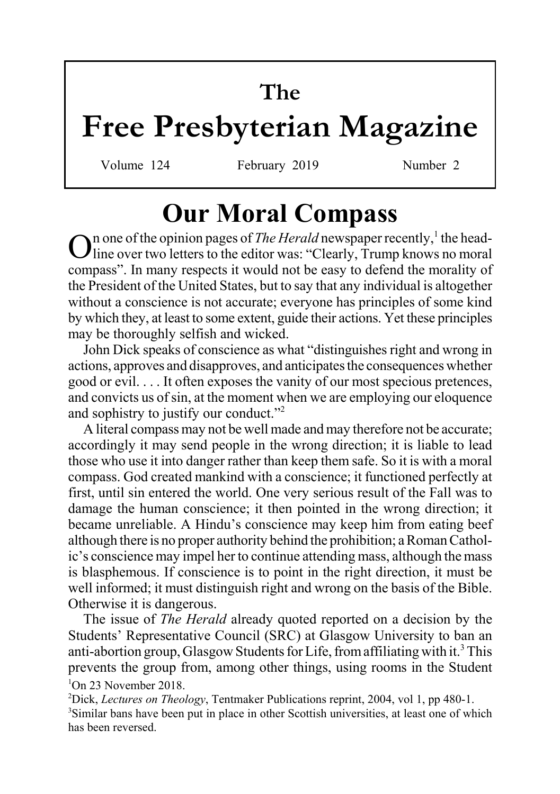# **The**

# **Free Presbyterian Magazine**

Volume 124 February 2019 Number 2

# **Our Moral Compass**

**O**n one of the opinion pages of *The Herald* newspaper recently,<sup>1</sup> the head-<br>ine over two letters to the editor was: "Clearly, Trump knows no moral In one of the opinion pages of *The Herald* newspaper recently,  $\frac{1}{2}$  the headcompass". In many respects it would not be easy to defend the morality of the President of the United States, but to say that any individual is altogether without a conscience is not accurate; everyone has principles of some kind by which they, at least to some extent, guide their actions. Yet these principles may be thoroughly selfish and wicked.

John Dick speaks of conscience as what "distinguishes right and wrong in actions, approves and disapproves, and anticipates the consequences whether good or evil. . . . It often exposes the vanity of our most specious pretences, and convicts us of sin, at the moment when we are employing our eloquence and sophistry to justify our conduct."2

A literal compass may not be well made and may therefore not be accurate; accordingly it may send people in the wrong direction; it is liable to lead those who use it into danger rather than keep them safe. So it is with a moral compass. God created mankind with a conscience; it functioned perfectly at first, until sin entered the world. One very serious result of the Fall was to damage the human conscience; it then pointed in the wrong direction; it became unreliable. A Hindu's conscience may keep him from eating beef although there is no proper authority behind the prohibition; a Roman Catholic's conscience may impel her to continue attending mass, although the mass is blasphemous. If conscience is to point in the right direction, it must be well informed; it must distinguish right and wrong on the basis of the Bible. Otherwise it is dangerous.

The issue of *The Herald* already quoted reported on a decision by the Students' Representative Council (SRC) at Glasgow University to ban an anti-abortion group, Glasgow Students for Life, from affiliating with it.<sup>3</sup> This prevents the group from, among other things, using rooms in the Student 1 On 23 November 2018.

2 Dick, *Lectures on Theology*, Tentmaker Publications reprint, 2004, vol 1, pp 480-1. <sup>3</sup>Similar bans have been put in place in other Scottish universities, at least one of which has been reversed.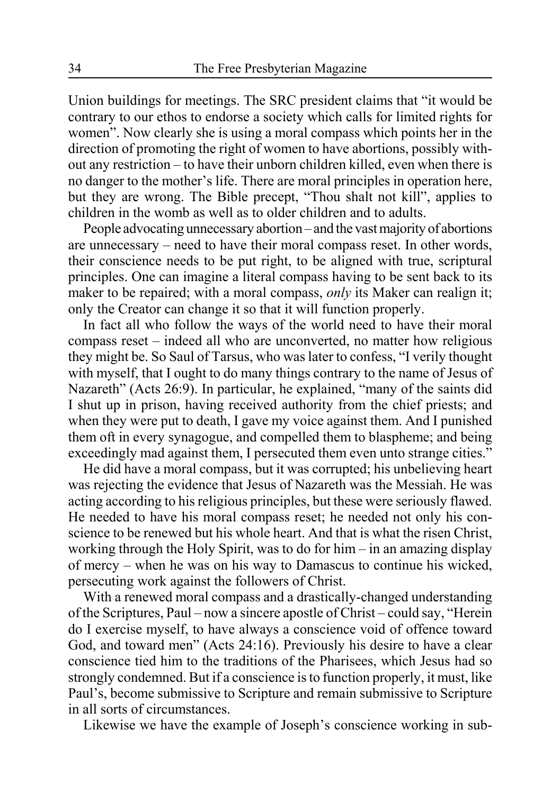Union buildings for meetings. The SRC president claims that "it would be contrary to our ethos to endorse a society which calls for limited rights for women". Now clearly she is using a moral compass which points her in the direction of promoting the right of women to have abortions, possibly without any restriction – to have their unborn children killed, even when there is no danger to the mother's life. There are moral principles in operation here, but they are wrong. The Bible precept, "Thou shalt not kill", applies to children in the womb as well as to older children and to adults.

People advocating unnecessary abortion – and the vast majority of abortions are unnecessary – need to have their moral compass reset. In other words, their conscience needs to be put right, to be aligned with true, scriptural principles. One can imagine a literal compass having to be sent back to its maker to be repaired; with a moral compass, *only* its Maker can realign it; only the Creator can change it so that it will function properly.

In fact all who follow the ways of the world need to have their moral compass reset – indeed all who are unconverted, no matter how religious they might be. So Saul of Tarsus, who was later to confess, "I verily thought with myself, that I ought to do many things contrary to the name of Jesus of Nazareth" (Acts 26:9). In particular, he explained, "many of the saints did I shut up in prison, having received authority from the chief priests; and when they were put to death, I gave my voice against them. And I punished them oft in every synagogue, and compelled them to blaspheme; and being exceedingly mad against them, I persecuted them even unto strange cities."

He did have a moral compass, but it was corrupted; his unbelieving heart was rejecting the evidence that Jesus of Nazareth was the Messiah. He was acting according to his religious principles, but these were seriously flawed. He needed to have his moral compass reset; he needed not only his conscience to be renewed but his whole heart. And that is what the risen Christ, working through the Holy Spirit, was to do for him – in an amazing display of mercy – when he was on his way to Damascus to continue his wicked, persecuting work against the followers of Christ.

With a renewed moral compass and a drastically-changed understanding of the Scriptures, Paul – now a sincere apostle of Christ – could say, "Herein do I exercise myself, to have always a conscience void of offence toward God, and toward men" (Acts 24:16). Previously his desire to have a clear conscience tied him to the traditions of the Pharisees, which Jesus had so strongly condemned. But if a conscience is to function properly, it must, like Paul's, become submissive to Scripture and remain submissive to Scripture in all sorts of circumstances.

Likewise we have the example of Joseph's conscience working in sub-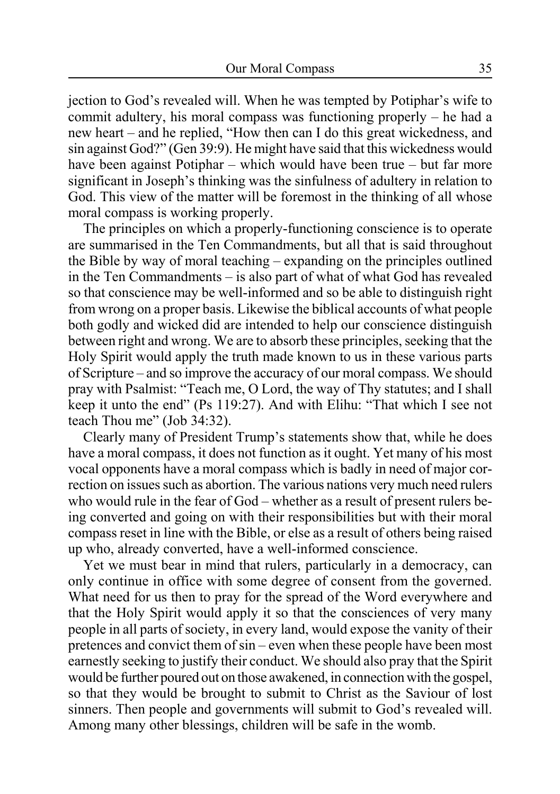jection to God's revealed will. When he was tempted by Potiphar's wife to commit adultery, his moral compass was functioning properly – he had a new heart – and he replied, "How then can I do this great wickedness, and sin against God?" (Gen 39:9). He might have said that this wickedness would have been against Potiphar – which would have been true – but far more significant in Joseph's thinking was the sinfulness of adultery in relation to God. This view of the matter will be foremost in the thinking of all whose moral compass is working properly.

The principles on which a properly-functioning conscience is to operate are summarised in the Ten Commandments, but all that is said throughout the Bible by way of moral teaching – expanding on the principles outlined in the Ten Commandments – is also part of what of what God has revealed so that conscience may be well-informed and so be able to distinguish right from wrong on a proper basis. Likewise the biblical accounts of what people both godly and wicked did are intended to help our conscience distinguish between right and wrong. We are to absorb these principles, seeking that the Holy Spirit would apply the truth made known to us in these various parts of Scripture – and so improve the accuracy of our moral compass. We should pray with Psalmist: "Teach me, O Lord, the way of Thy statutes; and I shall keep it unto the end" (Ps 119:27). And with Elihu: "That which I see not teach Thou me" (Job 34:32).

Clearly many of President Trump's statements show that, while he does have a moral compass, it does not function as it ought. Yet many of his most vocal opponents have a moral compass which is badly in need of major correction on issues such as abortion. The various nations very much need rulers who would rule in the fear of God – whether as a result of present rulers being converted and going on with their responsibilities but with their moral compass reset in line with the Bible, or else as a result of others being raised up who, already converted, have a well-informed conscience.

Yet we must bear in mind that rulers, particularly in a democracy, can only continue in office with some degree of consent from the governed. What need for us then to pray for the spread of the Word everywhere and that the Holy Spirit would apply it so that the consciences of very many people in all parts of society, in every land, would expose the vanity of their pretences and convict them of sin – even when these people have been most earnestly seeking to justify their conduct. We should also pray that the Spirit would be further poured out on those awakened, in connection with the gospel, so that they would be brought to submit to Christ as the Saviour of lost sinners. Then people and governments will submit to God's revealed will. Among many other blessings, children will be safe in the womb.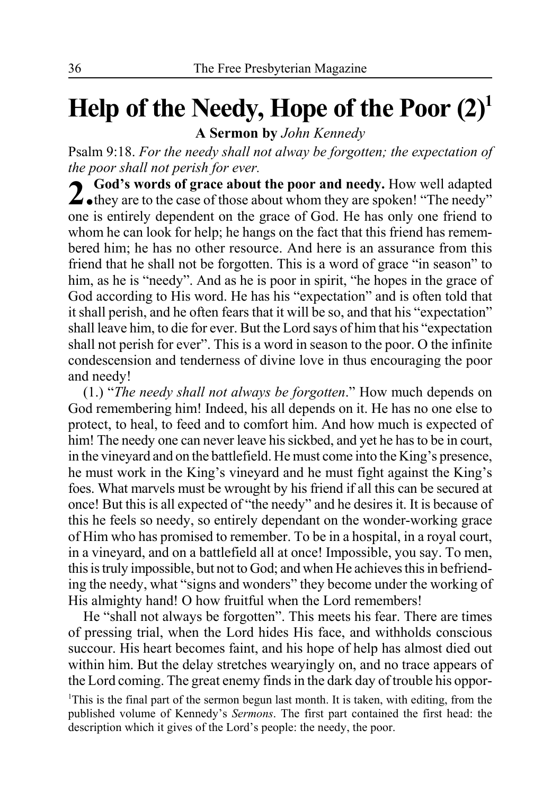# **Help of the Needy, Hope of the Poor (2)1**

**A Sermon by** *John Kennedy*

Psalm 9:18. *For the needy shall not alway be forgotten; the expectation of the poor shall not perish for ever.*

**4. God's words of grace about the poor and needy.** How well adapted  $\angle$  • they are to the case of those about whom they are spoken! "The needy" one is entirely dependent on the grace of God. He has only one friend to whom he can look for help; he hangs on the fact that this friend has remembered him; he has no other resource. And here is an assurance from this friend that he shall not be forgotten. This is a word of grace "in season" to him, as he is "needy". And as he is poor in spirit, "he hopes in the grace of God according to His word. He has his "expectation" and is often told that it shall perish, and he often fears that it will be so, and that his "expectation" shall leave him, to die for ever. But the Lord says of him that his "expectation shall not perish for ever". This is a word in season to the poor. O the infinite condescension and tenderness of divine love in thus encouraging the poor and needy!

(1.) "*The needy shall not always be forgotten*." How much depends on God remembering him! Indeed, his all depends on it. He has no one else to protect, to heal, to feed and to comfort him. And how much is expected of him! The needy one can never leave his sickbed, and yet he has to be in court, in the vineyard and on the battlefield. He must come into the King's presence, he must work in the King's vineyard and he must fight against the King's foes. What marvels must be wrought by his friend if all this can be secured at once! But this is all expected of "the needy" and he desires it. It is because of this he feels so needy, so entirely dependant on the wonder-working grace of Him who has promised to remember. To be in a hospital, in a royal court, in a vineyard, and on a battlefield all at once! Impossible, you say. To men, this is truly impossible, but not to God; and when He achieves this in befriending the needy, what "signs and wonders" they become under the working of His almighty hand! O how fruitful when the Lord remembers!

He "shall not always be forgotten". This meets his fear. There are times of pressing trial, when the Lord hides His face, and withholds conscious succour. His heart becomes faint, and his hope of help has almost died out within him. But the delay stretches wearyingly on, and no trace appears of the Lord coming. The great enemy finds in the dark day of trouble his oppor-

<sup>&</sup>lt;sup>1</sup>This is the final part of the sermon begun last month. It is taken, with editing, from the published volume of Kennedy's *Sermons*. The first part contained the first head: the description which it gives of the Lord's people: the needy, the poor.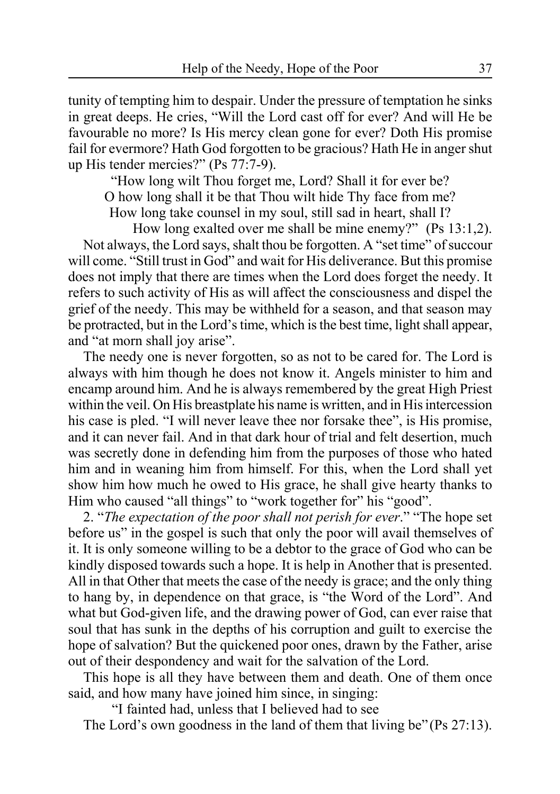tunity of tempting him to despair. Under the pressure of temptation he sinks in great deeps. He cries, "Will the Lord cast off for ever? And will He be favourable no more? Is His mercy clean gone for ever? Doth His promise fail for evermore? Hath God forgotten to be gracious? Hath He in anger shut up His tender mercies?" (Ps 77:7-9).

"How long wilt Thou forget me, Lord? Shall it for ever be?

O how long shall it be that Thou wilt hide Thy face from me?

How long take counsel in my soul, still sad in heart, shall I?

 How long exalted over me shall be mine enemy?" (Ps 13:1,2). Not always, the Lord says, shalt thou be forgotten. A "set time" of succour will come. "Still trust in God" and wait for His deliverance. But this promise does not imply that there are times when the Lord does forget the needy. It refers to such activity of His as will affect the consciousness and dispel the grief of the needy. This may be withheld for a season, and that season may be protracted, but in the Lord's time, which is the best time, light shall appear, and "at morn shall joy arise".

The needy one is never forgotten, so as not to be cared for. The Lord is always with him though he does not know it. Angels minister to him and encamp around him. And he is always remembered by the great High Priest within the veil. On His breastplate his name is written, and in His intercession his case is pled. "I will never leave thee nor forsake thee", is His promise, and it can never fail. And in that dark hour of trial and felt desertion, much was secretly done in defending him from the purposes of those who hated him and in weaning him from himself. For this, when the Lord shall yet show him how much he owed to His grace, he shall give hearty thanks to Him who caused "all things" to "work together for" his "good".

2. "*The expectation of the poor shall not perish for ever*." "The hope set before us" in the gospel is such that only the poor will avail themselves of it. It is only someone willing to be a debtor to the grace of God who can be kindly disposed towards such a hope. It is help in Another that is presented. All in that Other that meets the case of the needy is grace; and the only thing to hang by, in dependence on that grace, is "the Word of the Lord". And what but God-given life, and the drawing power of God, can ever raise that soul that has sunk in the depths of his corruption and guilt to exercise the hope of salvation? But the quickened poor ones, drawn by the Father, arise out of their despondency and wait for the salvation of the Lord.

This hope is all they have between them and death. One of them once said, and how many have joined him since, in singing:

"I fainted had, unless that I believed had to see

The Lord's own goodness in the land of them that living be" (Ps 27:13).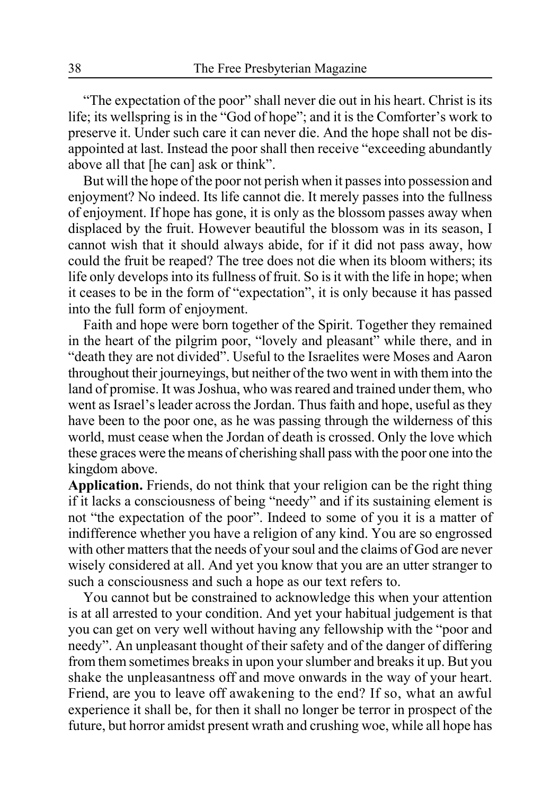"The expectation of the poor" shall never die out in his heart. Christ is its life; its wellspring is in the "God of hope"; and it is the Comforter's work to preserve it. Under such care it can never die. And the hope shall not be disappointed at last. Instead the poor shall then receive "exceeding abundantly above all that [he can] ask or think".

But will the hope of the poor not perish when it passes into possession and enjoyment? No indeed. Its life cannot die. It merely passes into the fullness of enjoyment. If hope has gone, it is only as the blossom passes away when displaced by the fruit. However beautiful the blossom was in its season, I cannot wish that it should always abide, for if it did not pass away, how could the fruit be reaped? The tree does not die when its bloom withers; its life only develops into its fullness of fruit. So is it with the life in hope; when it ceases to be in the form of "expectation", it is only because it has passed into the full form of enjoyment.

Faith and hope were born together of the Spirit. Together they remained in the heart of the pilgrim poor, "lovely and pleasant" while there, and in "death they are not divided". Useful to the Israelites were Moses and Aaron throughout their journeyings, but neither of the two went in with them into the land of promise. It was Joshua, who was reared and trained under them, who went as Israel's leader across the Jordan. Thus faith and hope, useful as they have been to the poor one, as he was passing through the wilderness of this world, must cease when the Jordan of death is crossed. Only the love which these graces were the means of cherishing shall pass with the poor one into the kingdom above.

**Application.** Friends, do not think that your religion can be the right thing if it lacks a consciousness of being "needy" and if its sustaining element is not "the expectation of the poor". Indeed to some of you it is a matter of indifference whether you have a religion of any kind. You are so engrossed with other matters that the needs of your soul and the claims of God are never wisely considered at all. And yet you know that you are an utter stranger to such a consciousness and such a hope as our text refers to.

You cannot but be constrained to acknowledge this when your attention is at all arrested to your condition. And yet your habitual judgement is that you can get on very well without having any fellowship with the "poor and needy". An unpleasant thought of their safety and of the danger of differing from them sometimes breaks in upon your slumber and breaks it up. But you shake the unpleasantness off and move onwards in the way of your heart. Friend, are you to leave off awakening to the end? If so, what an awful experience it shall be, for then it shall no longer be terror in prospect of the future, but horror amidst present wrath and crushing woe, while all hope has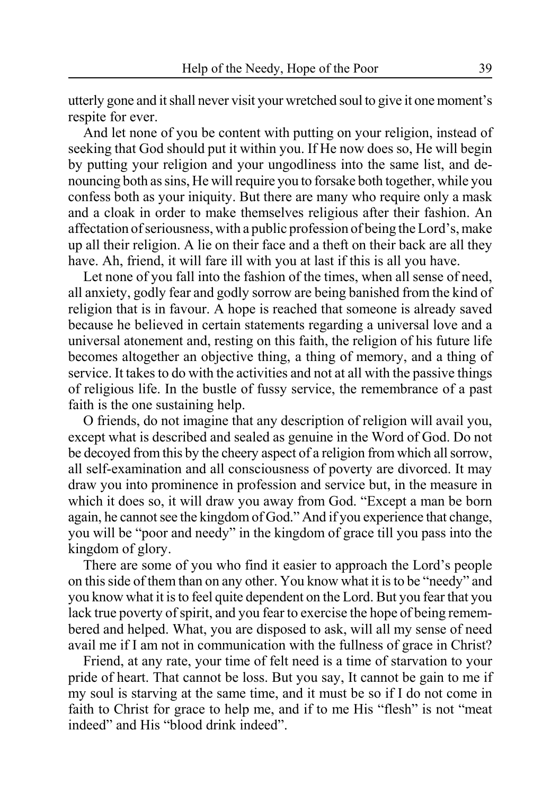utterly gone and it shall never visit your wretched soul to give it one moment's respite for ever.

And let none of you be content with putting on your religion, instead of seeking that God should put it within you. If He now does so, He will begin by putting your religion and your ungodliness into the same list, and denouncing both as sins, He will require you to forsake both together, while you confess both as your iniquity. But there are many who require only a mask and a cloak in order to make themselves religious after their fashion. An affectation of seriousness, with a public profession of being the Lord's, make up all their religion. A lie on their face and a theft on their back are all they have. Ah, friend, it will fare ill with you at last if this is all you have.

Let none of you fall into the fashion of the times, when all sense of need, all anxiety, godly fear and godly sorrow are being banished from the kind of religion that is in favour. A hope is reached that someone is already saved because he believed in certain statements regarding a universal love and a universal atonement and, resting on this faith, the religion of his future life becomes altogether an objective thing, a thing of memory, and a thing of service. It takes to do with the activities and not at all with the passive things of religious life. In the bustle of fussy service, the remembrance of a past faith is the one sustaining help.

O friends, do not imagine that any description of religion will avail you, except what is described and sealed as genuine in the Word of God. Do not be decoyed from this by the cheery aspect of a religion from which all sorrow, all self-examination and all consciousness of poverty are divorced. It may draw you into prominence in profession and service but, in the measure in which it does so, it will draw you away from God. "Except a man be born again, he cannot see the kingdom of God." And if you experience that change, you will be "poor and needy" in the kingdom of grace till you pass into the kingdom of glory.

There are some of you who find it easier to approach the Lord's people on this side of them than on any other. You know what it is to be "needy" and you know what it is to feel quite dependent on the Lord. But you fear that you lack true poverty of spirit, and you fear to exercise the hope of being remembered and helped. What, you are disposed to ask, will all my sense of need avail me if I am not in communication with the fullness of grace in Christ?

Friend, at any rate, your time of felt need is a time of starvation to your pride of heart. That cannot be loss. But you say, It cannot be gain to me if my soul is starving at the same time, and it must be so if I do not come in faith to Christ for grace to help me, and if to me His "flesh" is not "meat indeed" and His "blood drink indeed".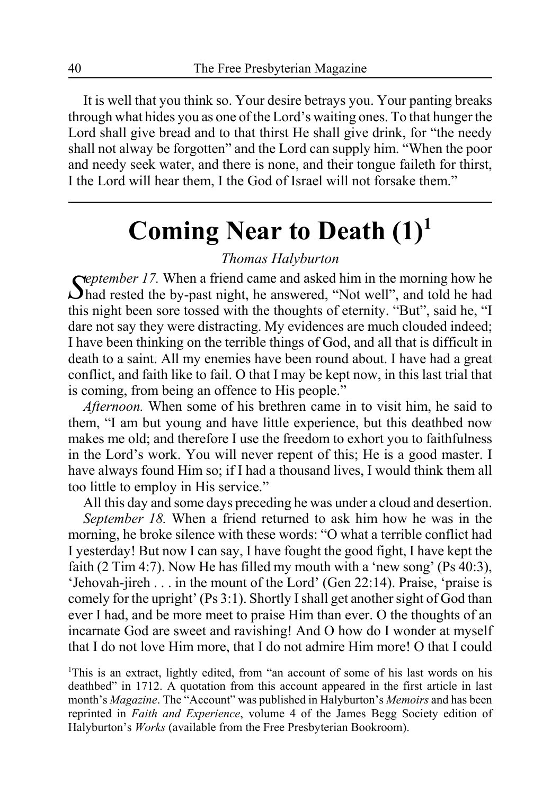It is well that you think so. Your desire betrays you. Your panting breaks through what hides you as one of the Lord's waiting ones. To that hunger the Lord shall give bread and to that thirst He shall give drink, for "the needy shall not alway be forgotten" and the Lord can supply him. "When the poor and needy seek water, and there is none, and their tongue faileth for thirst, I the Lord will hear them, I the God of Israel will not forsake them."

# **Coming Near to Death (1)1**

### *Thomas Halyburton*

September 17. When a friend came and asked him in the morning how he Shad rested the by-past night, he answered, "Not well", and told he had this night been sore tossed with the thoughts of eternity. "But", said he, "I dare not say they were distracting. My evidences are much clouded indeed; I have been thinking on the terrible things of God, and all that is difficult in death to a saint. All my enemies have been round about. I have had a great conflict, and faith like to fail. O that I may be kept now, in this last trial that is coming, from being an offence to His people."

*Afternoon.* When some of his brethren came in to visit him, he said to them, "I am but young and have little experience, but this deathbed now makes me old; and therefore I use the freedom to exhort you to faithfulness in the Lord's work. You will never repent of this; He is a good master. I have always found Him so; if I had a thousand lives, I would think them all too little to employ in His service."

All this day and some days preceding he was under a cloud and desertion.

*September 18.* When a friend returned to ask him how he was in the morning, he broke silence with these words: "O what a terrible conflict had I yesterday! But now I can say, I have fought the good fight, I have kept the faith (2 Tim 4:7). Now He has filled my mouth with a 'new song' (Ps 40:3), 'Jehovah-jireh . . . in the mount of the Lord' (Gen 22:14). Praise, 'praise is comely for the upright' (Ps 3:1). Shortly I shall get another sight of God than ever I had, and be more meet to praise Him than ever. O the thoughts of an incarnate God are sweet and ravishing! And O how do I wonder at myself that I do not love Him more, that I do not admire Him more! O that I could

<sup>1</sup> This is an extract, lightly edited, from "an account of some of his last words on his deathbed" in 1712. A quotation from this account appeared in the first article in last month's *Magazine*. The "Account" was published in Halyburton's *Memoirs* and has been reprinted in *Faith and Experience*, volume 4 of the James Begg Society edition of Halyburton's *Works* (available from the Free Presbyterian Bookroom).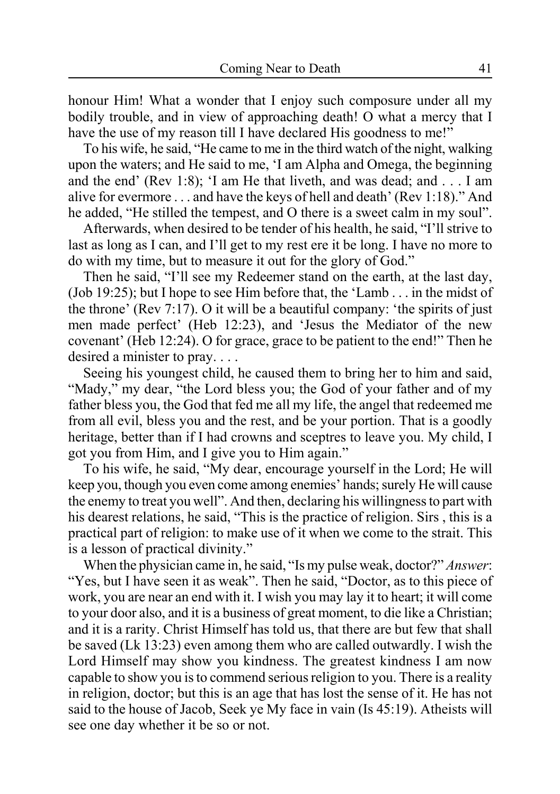honour Him! What a wonder that I enjoy such composure under all my bodily trouble, and in view of approaching death! O what a mercy that I have the use of my reason till I have declared His goodness to me!"

To his wife, he said, "He came to me in the third watch of the night, walking upon the waters; and He said to me, 'I am Alpha and Omega, the beginning and the end' (Rev 1:8); 'I am He that liveth, and was dead; and . . . I am alive for evermore . . . and have the keys of hell and death' (Rev 1:18)." And he added, "He stilled the tempest, and O there is a sweet calm in my soul".

Afterwards, when desired to be tender of his health, he said, "I'll strive to last as long as I can, and I'll get to my rest ere it be long. I have no more to do with my time, but to measure it out for the glory of God."

Then he said, "I'll see my Redeemer stand on the earth, at the last day, (Job 19:25); but I hope to see Him before that, the 'Lamb . . . in the midst of the throne' (Rev 7:17). O it will be a beautiful company: 'the spirits of just men made perfect' (Heb 12:23), and 'Jesus the Mediator of the new covenant' (Heb 12:24). O for grace, grace to be patient to the end!" Then he desired a minister to pray. . . .

Seeing his youngest child, he caused them to bring her to him and said, "Mady," my dear, "the Lord bless you; the God of your father and of my father bless you, the God that fed me all my life, the angel that redeemed me from all evil, bless you and the rest, and be your portion. That is a goodly heritage, better than if I had crowns and sceptres to leave you. My child, I got you from Him, and I give you to Him again."

To his wife, he said, "My dear, encourage yourself in the Lord; He will keep you, though you even come among enemies' hands; surely He will cause the enemy to treat you well". And then, declaring his willingness to part with his dearest relations, he said, "This is the practice of religion. Sirs , this is a practical part of religion: to make use of it when we come to the strait. This is a lesson of practical divinity."

When the physician came in, he said, "Is my pulse weak, doctor?" *Answer*: "Yes, but I have seen it as weak". Then he said, "Doctor, as to this piece of work, you are near an end with it. I wish you may lay it to heart; it will come to your door also, and it is a business of great moment, to die like a Christian; and it is a rarity. Christ Himself has told us, that there are but few that shall be saved (Lk 13:23) even among them who are called outwardly. I wish the Lord Himself may show you kindness. The greatest kindness I am now capable to show you is to commend serious religion to you. There is a reality in religion, doctor; but this is an age that has lost the sense of it. He has not said to the house of Jacob, Seek ye My face in vain (Is 45:19). Atheists will see one day whether it be so or not.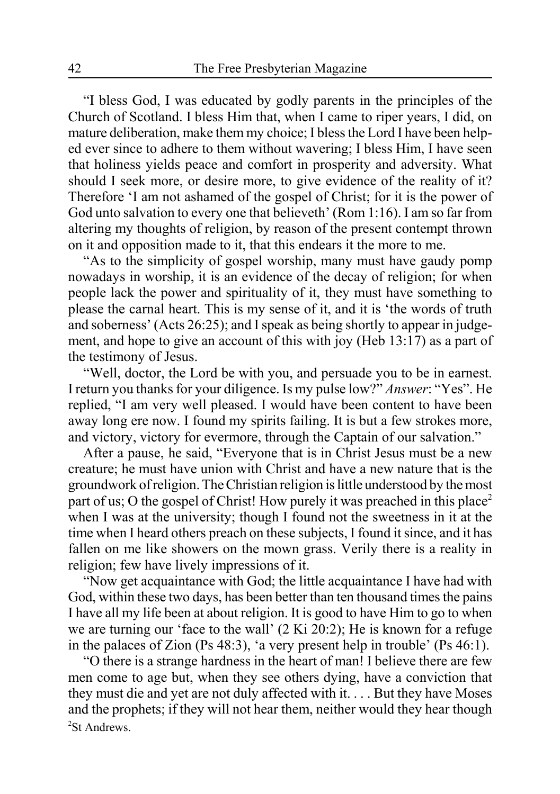"I bless God, I was educated by godly parents in the principles of the Church of Scotland. I bless Him that, when I came to riper years, I did, on mature deliberation, make them my choice; I bless the Lord I have been helped ever since to adhere to them without wavering; I bless Him, I have seen that holiness yields peace and comfort in prosperity and adversity. What should I seek more, or desire more, to give evidence of the reality of it? Therefore 'I am not ashamed of the gospel of Christ; for it is the power of God unto salvation to every one that believeth' (Rom 1:16). I am so far from altering my thoughts of religion, by reason of the present contempt thrown on it and opposition made to it, that this endears it the more to me.

"As to the simplicity of gospel worship, many must have gaudy pomp nowadays in worship, it is an evidence of the decay of religion; for when people lack the power and spirituality of it, they must have something to please the carnal heart. This is my sense of it, and it is 'the words of truth and soberness' (Acts 26:25); and I speak as being shortly to appear in judgement, and hope to give an account of this with joy (Heb 13:17) as a part of the testimony of Jesus.

"Well, doctor, the Lord be with you, and persuade you to be in earnest. I return you thanks for your diligence. Is my pulse low?" *Answer*: "Yes". He replied, "I am very well pleased. I would have been content to have been away long ere now. I found my spirits failing. It is but a few strokes more, and victory, victory for evermore, through the Captain of our salvation."

After a pause, he said, "Everyone that is in Christ Jesus must be a new creature; he must have union with Christ and have a new nature that is the groundwork of religion. The Christian religion is little understood by the most part of us; O the gospel of Christ! How purely it was preached in this place<sup>2</sup> when I was at the university; though I found not the sweetness in it at the time when I heard others preach on these subjects, I found it since, and it has fallen on me like showers on the mown grass. Verily there is a reality in religion; few have lively impressions of it.

"Now get acquaintance with God; the little acquaintance I have had with God, within these two days, has been better than ten thousand times the pains I have all my life been at about religion. It is good to have Him to go to when we are turning our 'face to the wall' (2 Ki 20:2); He is known for a refuge in the palaces of Zion (Ps 48:3), 'a very present help in trouble' (Ps 46:1).

"O there is a strange hardness in the heart of man! I believe there are few men come to age but, when they see others dying, have a conviction that they must die and yet are not duly affected with it. . . . But they have Moses and the prophets; if they will not hear them, neither would they hear though <sup>2</sup>St Andrews.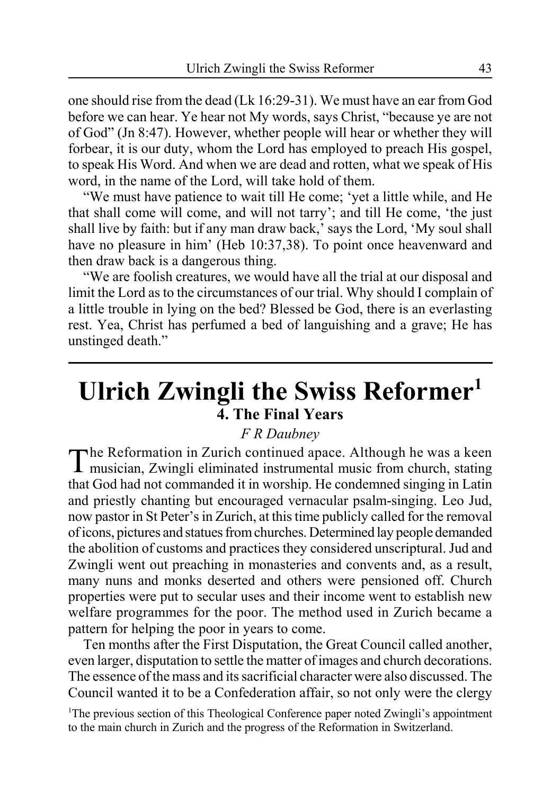one should rise from the dead (Lk 16:29-31). We must have an ear from God before we can hear. Ye hear not My words, says Christ, "because ye are not of God" (Jn 8:47). However, whether people will hear or whether they will forbear, it is our duty, whom the Lord has employed to preach His gospel, to speak His Word. And when we are dead and rotten, what we speak of His word, in the name of the Lord, will take hold of them.

"We must have patience to wait till He come; 'yet a little while, and He that shall come will come, and will not tarry'; and till He come, 'the just shall live by faith: but if any man draw back,' says the Lord, 'My soul shall have no pleasure in him' (Heb 10:37,38). To point once heavenward and then draw back is a dangerous thing.

"We are foolish creatures, we would have all the trial at our disposal and limit the Lord as to the circumstances of our trial. Why should I complain of a little trouble in lying on the bed? Blessed be God, there is an everlasting rest. Yea, Christ has perfumed a bed of languishing and a grave; He has unstinged death."

### **Ulrich Zwingli the Swiss Reformer**<sup>1</sup> **4. The Final Years**

#### *F R Daubney*

The Reformation in Zurich continued apace. Although he was a keen musician, Zwingli eliminated instrumental music from church, stating that God had not commanded it in worship. He condemned singing in Latin and priestly chanting but encouraged vernacular psalm-singing. Leo Jud, now pastor in St Peter's in Zurich, at this time publicly called for the removal of icons, pictures and statues from churches. Determined lay people demanded the abolition of customs and practices they considered unscriptural. Jud and Zwingli went out preaching in monasteries and convents and, as a result, many nuns and monks deserted and others were pensioned off. Church properties were put to secular uses and their income went to establish new welfare programmes for the poor. The method used in Zurich became a pattern for helping the poor in years to come.

Ten months after the First Disputation, the Great Council called another, even larger, disputation to settle the matter of images and church decorations. The essence of the mass and its sacrificial character were also discussed. The Council wanted it to be a Confederation affair, so not only were the clergy

<sup>1</sup>The previous section of this Theological Conference paper noted Zwingli's appointment to the main church in Zurich and the progress of the Reformation in Switzerland.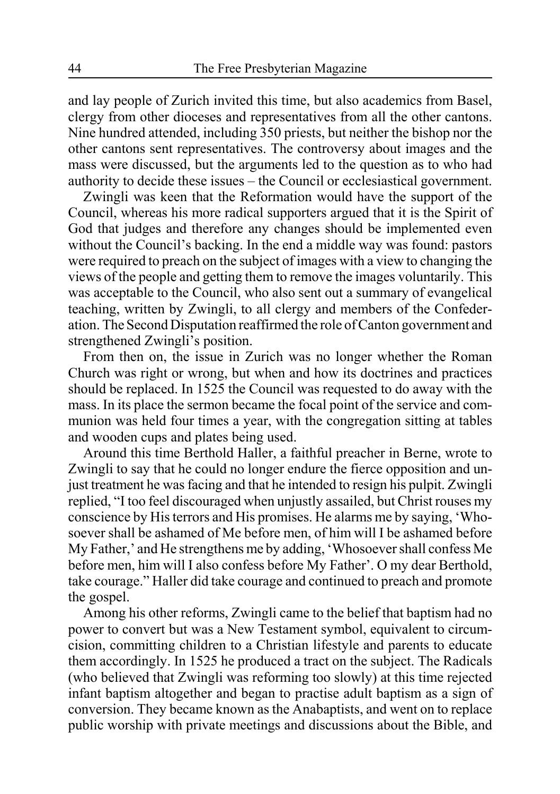and lay people of Zurich invited this time, but also academics from Basel, clergy from other dioceses and representatives from all the other cantons. Nine hundred attended, including 350 priests, but neither the bishop nor the other cantons sent representatives. The controversy about images and the mass were discussed, but the arguments led to the question as to who had authority to decide these issues – the Council or ecclesiastical government.

Zwingli was keen that the Reformation would have the support of the Council, whereas his more radical supporters argued that it is the Spirit of God that judges and therefore any changes should be implemented even without the Council's backing. In the end a middle way was found: pastors were required to preach on the subject of images with a view to changing the views of the people and getting them to remove the images voluntarily. This was acceptable to the Council, who also sent out a summary of evangelical teaching, written by Zwingli, to all clergy and members of the Confederation. The Second Disputation reaffirmed the role of Canton government and strengthened Zwingli's position.

From then on, the issue in Zurich was no longer whether the Roman Church was right or wrong, but when and how its doctrines and practices should be replaced. In 1525 the Council was requested to do away with the mass. In its place the sermon became the focal point of the service and communion was held four times a year, with the congregation sitting at tables and wooden cups and plates being used.

Around this time Berthold Haller, a faithful preacher in Berne, wrote to Zwingli to say that he could no longer endure the fierce opposition and unjust treatment he was facing and that he intended to resign his pulpit. Zwingli replied, "I too feel discouraged when unjustly assailed, but Christ rouses my conscience by His terrors and His promises. He alarms me by saying, 'Whosoever shall be ashamed of Me before men, of him will I be ashamed before My Father,' and He strengthens me by adding, 'Whosoever shall confess Me before men, him will I also confess before My Father'. O my dear Berthold, take courage." Haller did take courage and continued to preach and promote the gospel.

Among his other reforms, Zwingli came to the belief that baptism had no power to convert but was a New Testament symbol, equivalent to circumcision, committing children to a Christian lifestyle and parents to educate them accordingly. In 1525 he produced a tract on the subject. The Radicals (who believed that Zwingli was reforming too slowly) at this time rejected infant baptism altogether and began to practise adult baptism as a sign of conversion. They became known as the Anabaptists, and went on to replace public worship with private meetings and discussions about the Bible, and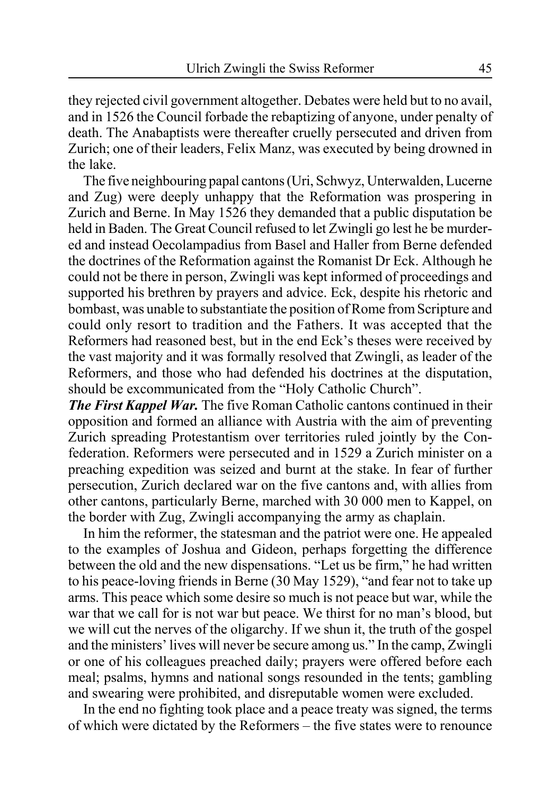they rejected civil government altogether. Debates were held but to no avail, and in 1526 the Council forbade the rebaptizing of anyone, under penalty of death. The Anabaptists were thereafter cruelly persecuted and driven from Zurich; one of their leaders, Felix Manz, was executed by being drowned in the lake.

The five neighbouring papal cantons (Uri, Schwyz, Unterwalden, Lucerne and Zug) were deeply unhappy that the Reformation was prospering in Zurich and Berne. In May 1526 they demanded that a public disputation be held in Baden. The Great Council refused to let Zwingli go lest he be murdered and instead Oecolampadius from Basel and Haller from Berne defended the doctrines of the Reformation against the Romanist Dr Eck. Although he could not be there in person, Zwingli was kept informed of proceedings and supported his brethren by prayers and advice. Eck, despite his rhetoric and bombast, was unable to substantiate the position of Rome from Scripture and could only resort to tradition and the Fathers. It was accepted that the Reformers had reasoned best, but in the end Eck's theses were received by the vast majority and it was formally resolved that Zwingli, as leader of the Reformers, and those who had defended his doctrines at the disputation, should be excommunicated from the "Holy Catholic Church".

*The First Kappel War.* The five Roman Catholic cantons continued in their opposition and formed an alliance with Austria with the aim of preventing Zurich spreading Protestantism over territories ruled jointly by the Confederation. Reformers were persecuted and in 1529 a Zurich minister on a preaching expedition was seized and burnt at the stake. In fear of further persecution, Zurich declared war on the five cantons and, with allies from other cantons, particularly Berne, marched with 30 000 men to Kappel, on the border with Zug, Zwingli accompanying the army as chaplain.

In him the reformer, the statesman and the patriot were one. He appealed to the examples of Joshua and Gideon, perhaps forgetting the difference between the old and the new dispensations. "Let us be firm," he had written to his peace-loving friends in Berne (30 May 1529), "and fear not to take up arms. This peace which some desire so much is not peace but war, while the war that we call for is not war but peace. We thirst for no man's blood, but we will cut the nerves of the oligarchy. If we shun it, the truth of the gospel and the ministers' lives will never be secure among us." In the camp, Zwingli or one of his colleagues preached daily; prayers were offered before each meal; psalms, hymns and national songs resounded in the tents; gambling and swearing were prohibited, and disreputable women were excluded.

In the end no fighting took place and a peace treaty was signed, the terms of which were dictated by the Reformers – the five states were to renounce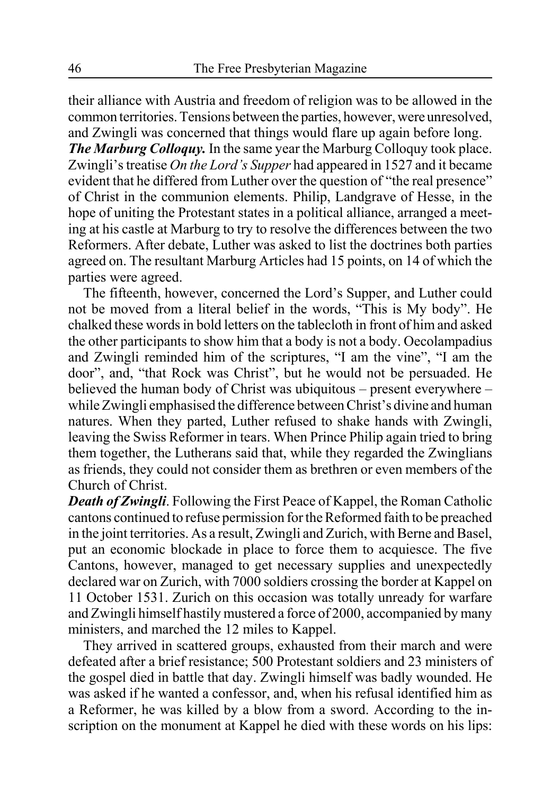their alliance with Austria and freedom of religion was to be allowed in the common territories. Tensions between the parties, however, were unresolved, and Zwingli was concerned that things would flare up again before long.

*The Marburg Colloguy.* In the same year the Marburg Colloguy took place. Zwingli's treatise *On the Lord's Supper* had appeared in 1527 and it became evident that he differed from Luther over the question of "the real presence" of Christ in the communion elements. Philip, Landgrave of Hesse, in the hope of uniting the Protestant states in a political alliance, arranged a meeting at his castle at Marburg to try to resolve the differences between the two Reformers. After debate, Luther was asked to list the doctrines both parties agreed on. The resultant Marburg Articles had 15 points, on 14 of which the parties were agreed.

The fifteenth, however, concerned the Lord's Supper, and Luther could not be moved from a literal belief in the words, "This is My body". He chalked these words in bold letters on the tablecloth in front of him and asked the other participants to show him that a body is not a body. Oecolampadius and Zwingli reminded him of the scriptures, "I am the vine", "I am the door", and, "that Rock was Christ", but he would not be persuaded. He believed the human body of Christ was ubiquitous – present everywhere – while Zwingli emphasised the difference between Christ's divine and human natures. When they parted, Luther refused to shake hands with Zwingli, leaving the Swiss Reformer in tears. When Prince Philip again tried to bring them together, the Lutherans said that, while they regarded the Zwinglians as friends, they could not consider them as brethren or even members of the Church of Christ.

*Death of Zwingli*. Following the First Peace of Kappel, the Roman Catholic cantons continued to refuse permission for the Reformed faith to be preached in the joint territories. As a result, Zwingli and Zurich, with Berne and Basel, put an economic blockade in place to force them to acquiesce. The five Cantons, however, managed to get necessary supplies and unexpectedly declared war on Zurich, with 7000 soldiers crossing the border at Kappel on 11 October 1531. Zurich on this occasion was totally unready for warfare and Zwingli himself hastily mustered a force of 2000, accompanied by many ministers, and marched the 12 miles to Kappel.

They arrived in scattered groups, exhausted from their march and were defeated after a brief resistance; 500 Protestant soldiers and 23 ministers of the gospel died in battle that day. Zwingli himself was badly wounded. He was asked if he wanted a confessor, and, when his refusal identified him as a Reformer, he was killed by a blow from a sword. According to the inscription on the monument at Kappel he died with these words on his lips: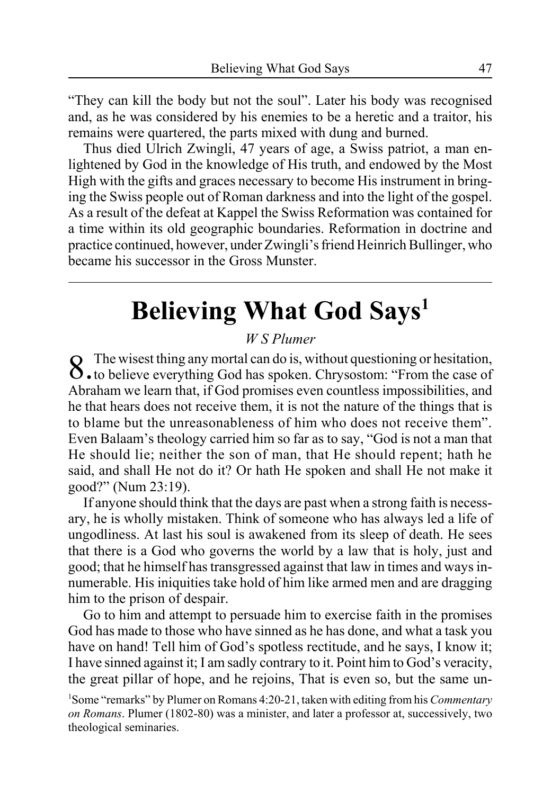"They can kill the body but not the soul". Later his body was recognised and, as he was considered by his enemies to be a heretic and a traitor, his remains were quartered, the parts mixed with dung and burned.

Thus died Ulrich Zwingli, 47 years of age, a Swiss patriot, a man enlightened by God in the knowledge of His truth, and endowed by the Most High with the gifts and graces necessary to become His instrument in bringing the Swiss people out of Roman darkness and into the light of the gospel. As a result of the defeat at Kappel the Swiss Reformation was contained for a time within its old geographic boundaries. Reformation in doctrine and practice continued, however, under Zwingli's friend Heinrich Bullinger, who became his successor in the Gross Munster.

# **Believing What God Says1**

### *W S Plumer*

8.The wisest thing any mortal can do is, without questioning or hesitation, to believe everything God has spoken. Chrysostom: "From the case of Abraham we learn that, if God promises even countless impossibilities, and he that hears does not receive them, it is not the nature of the things that is to blame but the unreasonableness of him who does not receive them". Even Balaam's theology carried him so far as to say, "God is not a man that He should lie; neither the son of man, that He should repent; hath he said, and shall He not do it? Or hath He spoken and shall He not make it good?" (Num 23:19).

If anyone should think that the days are past when a strong faith is necessary, he is wholly mistaken. Think of someone who has always led a life of ungodliness. At last his soul is awakened from its sleep of death. He sees that there is a God who governs the world by a law that is holy, just and good; that he himself has transgressed against that law in times and ways innumerable. His iniquities take hold of him like armed men and are dragging him to the prison of despair.

Go to him and attempt to persuade him to exercise faith in the promises God has made to those who have sinned as he has done, and what a task you have on hand! Tell him of God's spotless rectitude, and he says, I know it; I have sinned against it; I am sadly contrary to it. Point him to God's veracity, the great pillar of hope, and he rejoins, That is even so, but the same un-

<sup>1</sup> Some "remarks" by Plumer on Romans 4:20-21, taken with editing from his *Commentary on Romans*. Plumer (1802-80) was a minister, and later a professor at, successively, two theological seminaries.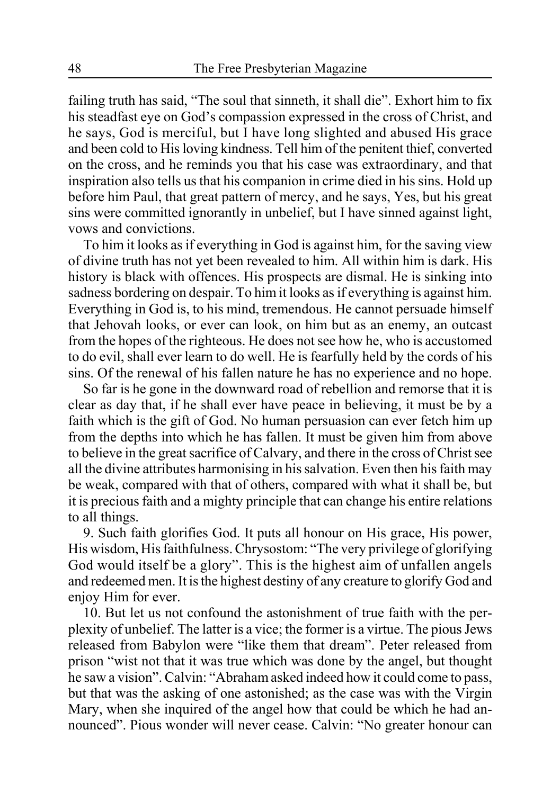failing truth has said, "The soul that sinneth, it shall die". Exhort him to fix his steadfast eye on God's compassion expressed in the cross of Christ, and he says, God is merciful, but I have long slighted and abused His grace and been cold to His loving kindness. Tell him of the penitent thief, converted on the cross, and he reminds you that his case was extraordinary, and that inspiration also tells us that his companion in crime died in his sins. Hold up before him Paul, that great pattern of mercy, and he says, Yes, but his great sins were committed ignorantly in unbelief, but I have sinned against light, vows and convictions.

To him it looks as if everything in God is against him, for the saving view of divine truth has not yet been revealed to him. All within him is dark. His history is black with offences. His prospects are dismal. He is sinking into sadness bordering on despair. To him it looks as if everything is against him. Everything in God is, to his mind, tremendous. He cannot persuade himself that Jehovah looks, or ever can look, on him but as an enemy, an outcast from the hopes of the righteous. He does not see how he, who is accustomed to do evil, shall ever learn to do well. He is fearfully held by the cords of his sins. Of the renewal of his fallen nature he has no experience and no hope.

So far is he gone in the downward road of rebellion and remorse that it is clear as day that, if he shall ever have peace in believing, it must be by a faith which is the gift of God. No human persuasion can ever fetch him up from the depths into which he has fallen. It must be given him from above to believe in the great sacrifice of Calvary, and there in the cross of Christ see all the divine attributes harmonising in his salvation. Even then his faith may be weak, compared with that of others, compared with what it shall be, but it is precious faith and a mighty principle that can change his entire relations to all things.

9. Such faith glorifies God. It puts all honour on His grace, His power, His wisdom, His faithfulness. Chrysostom: "The very privilege of glorifying God would itself be a glory". This is the highest aim of unfallen angels and redeemed men. It is the highest destiny of any creature to glorify God and enjoy Him for ever.

10. But let us not confound the astonishment of true faith with the perplexity of unbelief. The latter is a vice; the former is a virtue. The pious Jews released from Babylon were "like them that dream". Peter released from prison "wist not that it was true which was done by the angel, but thought he saw a vision". Calvin: "Abraham asked indeed how it could come to pass, but that was the asking of one astonished; as the case was with the Virgin Mary, when she inquired of the angel how that could be which he had announced". Pious wonder will never cease. Calvin: "No greater honour can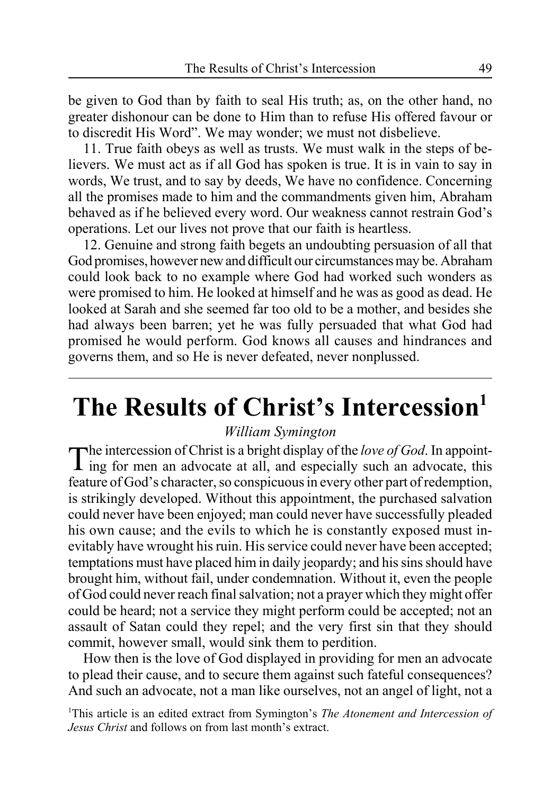be given to God than by faith to seal His truth; as, on the other hand, no greater dishonour can be done to Him than to refuse His offered favour or to discredit His Word". We may wonder; we must not disbelieve.

11. True faith obeys as well as trusts. We must walk in the steps of believers. We must act as if all God has spoken is true. It is in vain to say in words, We trust, and to say by deeds, We have no confidence. Concerning all the promises made to him and the commandments given him, Abraham behaved as if he believed every word. Our weakness cannot restrain God's operations. Let our lives not prove that our faith is heartless.

12. Genuine and strong faith begets an undoubting persuasion of all that God promises, however new and difficult our circumstances may be. Abraham could look back to no example where God had worked such wonders as were promised to him. He looked at himself and he was as good as dead. He looked at Sarah and she seemed far too old to be a mother, and besides she had always been barren; yet he was fully persuaded that what God had promised he would perform. God knows all causes and hindrances and governs them, and so He is never defeated, never nonplussed.

# **The Results of Christ's Intercession**<sup>1</sup>

#### *William Symington*

The intercession of Christ is a bright display of the *love of God*. In appoint- $\mathbf I$  ing for men an advocate at all, and especially such an advocate, this feature of God's character, so conspicuous in every other part of redemption, is strikingly developed. Without this appointment, the purchased salvation could never have been enjoyed; man could never have successfully pleaded his own cause; and the evils to which he is constantly exposed must inevitably have wrought his ruin. His service could never have been accepted; temptations must have placed him in daily jeopardy; and his sins should have brought him, without fail, under condemnation. Without it, even the people of God could never reach final salvation; not a prayer which they might offer could be heard; not a service they might perform could be accepted; not an assault of Satan could they repel; and the very first sin that they should commit, however small, would sink them to perdition.

How then is the love of God displayed in providing for men an advocate to plead their cause, and to secure them against such fateful consequences? And such an advocate, not a man like ourselves, not an angel of light, not a

1 This article is an edited extract from Symington's *The Atonement and Intercession of Jesus Christ* and follows on from last month's extract.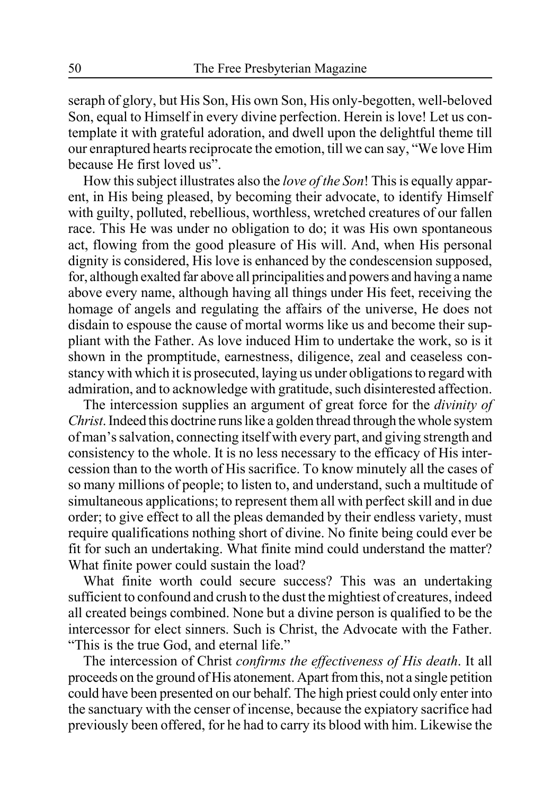seraph of glory, but His Son, His own Son, His only-begotten, well-beloved Son, equal to Himself in every divine perfection. Herein is love! Let us contemplate it with grateful adoration, and dwell upon the delightful theme till our enraptured hearts reciprocate the emotion, till we can say, "We love Him because He first loved us".

How this subject illustrates also the *love of the Son*! This is equally apparent, in His being pleased, by becoming their advocate, to identify Himself with guilty, polluted, rebellious, worthless, wretched creatures of our fallen race. This He was under no obligation to do; it was His own spontaneous act, flowing from the good pleasure of His will. And, when His personal dignity is considered, His love is enhanced by the condescension supposed, for, although exalted far above all principalities and powers and having a name above every name, although having all things under His feet, receiving the homage of angels and regulating the affairs of the universe, He does not disdain to espouse the cause of mortal worms like us and become their suppliant with the Father. As love induced Him to undertake the work, so is it shown in the promptitude, earnestness, diligence, zeal and ceaseless constancy with which it is prosecuted, laying us under obligations to regard with admiration, and to acknowledge with gratitude, such disinterested affection.

The intercession supplies an argument of great force for the *divinity of Christ*. Indeed this doctrine runs like a golden thread through the whole system of man's salvation, connecting itself with every part, and giving strength and consistency to the whole. It is no less necessary to the efficacy of His intercession than to the worth of His sacrifice. To know minutely all the cases of so many millions of people; to listen to, and understand, such a multitude of simultaneous applications; to represent them all with perfect skill and in due order; to give effect to all the pleas demanded by their endless variety, must require qualifications nothing short of divine. No finite being could ever be fit for such an undertaking. What finite mind could understand the matter? What finite power could sustain the load?

What finite worth could secure success? This was an undertaking sufficient to confound and crush to the dust the mightiest of creatures, indeed all created beings combined. None but a divine person is qualified to be the intercessor for elect sinners. Such is Christ, the Advocate with the Father. "This is the true God, and eternal life."

The intercession of Christ *confirms the effectiveness of His death*. It all proceeds on the ground of His atonement. Apart from this, not a single petition could have been presented on our behalf. The high priest could only enter into the sanctuary with the censer of incense, because the expiatory sacrifice had previously been offered, for he had to carry its blood with him. Likewise the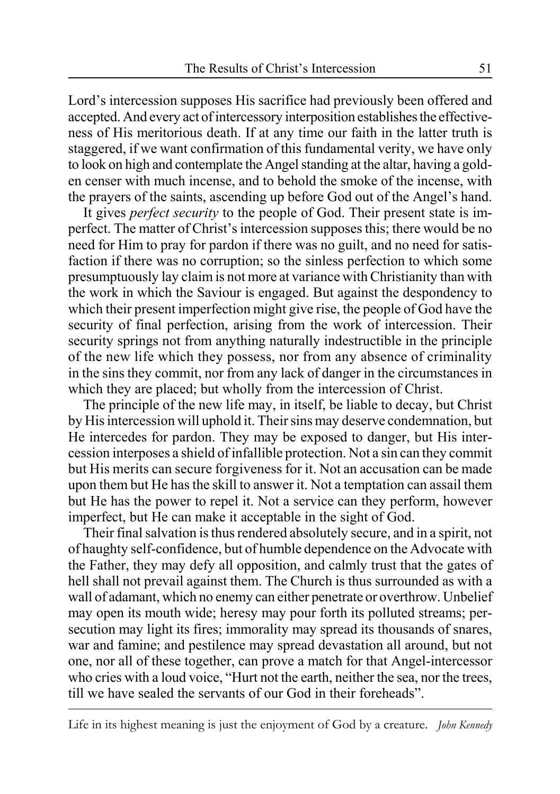Lord's intercession supposes His sacrifice had previously been offered and accepted. And every act of intercessory interposition establishes the effectiveness of His meritorious death. If at any time our faith in the latter truth is staggered, if we want confirmation of this fundamental verity, we have only to look on high and contemplate the Angel standing at the altar, having a golden censer with much incense, and to behold the smoke of the incense, with the prayers of the saints, ascending up before God out of the Angel's hand.

It gives *perfect security* to the people of God. Their present state is imperfect. The matter of Christ's intercession supposes this; there would be no need for Him to pray for pardon if there was no guilt, and no need for satisfaction if there was no corruption; so the sinless perfection to which some presumptuously lay claim is not more at variance with Christianity than with the work in which the Saviour is engaged. But against the despondency to which their present imperfection might give rise, the people of God have the security of final perfection, arising from the work of intercession. Their security springs not from anything naturally indestructible in the principle of the new life which they possess, nor from any absence of criminality in the sins they commit, nor from any lack of danger in the circumstances in which they are placed; but wholly from the intercession of Christ.

The principle of the new life may, in itself, be liable to decay, but Christ by His intercession will uphold it. Their sins may deserve condemnation, but He intercedes for pardon. They may be exposed to danger, but His intercession interposes a shield of infallible protection. Not a sin can they commit but His merits can secure forgiveness for it. Not an accusation can be made upon them but He has the skill to answer it. Not a temptation can assail them but He has the power to repel it. Not a service can they perform, however imperfect, but He can make it acceptable in the sight of God.

Their final salvation is thus rendered absolutely secure, and in a spirit, not of haughty self-confidence, but of humble dependence on the Advocate with the Father, they may defy all opposition, and calmly trust that the gates of hell shall not prevail against them. The Church is thus surrounded as with a wall of adamant, which no enemy can either penetrate or overthrow. Unbelief may open its mouth wide; heresy may pour forth its polluted streams; persecution may light its fires; immorality may spread its thousands of snares, war and famine; and pestilence may spread devastation all around, but not one, nor all of these together, can prove a match for that Angel-intercessor who cries with a loud voice, "Hurt not the earth, neither the sea, nor the trees, till we have sealed the servants of our God in their foreheads".

Life in its highest meaning is just the enjoyment of God by a creature. *John Kennedy*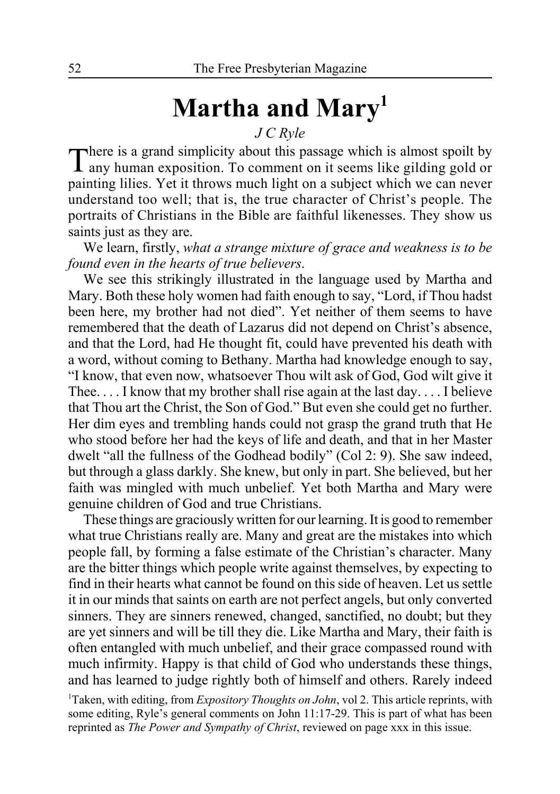# **Martha and Mary1**

### *J C Ryle*

There is a grand simplicity about this passage which is almost spoilt by any human exposition. To comment on it seems like gilding gold or painting lilies. Yet it throws much light on a subject which we can never understand too well; that is, the true character of Christ's people. The portraits of Christians in the Bible are faithful likenesses. They show us saints just as they are.

We learn, firstly, *what a strange mixture of grace and weakness is to be found even in the hearts of true believers*.

We see this strikingly illustrated in the language used by Martha and Mary. Both these holy women had faith enough to say, "Lord, if Thou hadst been here, my brother had not died". Yet neither of them seems to have remembered that the death of Lazarus did not depend on Christ's absence, and that the Lord, had He thought fit, could have prevented his death with a word, without coming to Bethany. Martha had knowledge enough to say, "I know, that even now, whatsoever Thou wilt ask of God, God wilt give it Thee. . . . I know that my brother shall rise again at the last day. . . . I believe that Thou art the Christ, the Son of God." But even she could get no further. Her dim eyes and trembling hands could not grasp the grand truth that He who stood before her had the keys of life and death, and that in her Master dwelt "all the fullness of the Godhead bodily" (Col 2: 9). She saw indeed, but through a glass darkly. She knew, but only in part. She believed, but her faith was mingled with much unbelief. Yet both Martha and Mary were genuine children of God and true Christians.

These things are graciously written for our learning. It is good to remember what true Christians really are. Many and great are the mistakes into which people fall, by forming a false estimate of the Christian's character. Many are the bitter things which people write against themselves, by expecting to find in their hearts what cannot be found on this side of heaven. Let us settle it in our minds that saints on earth are not perfect angels, but only converted sinners. They are sinners renewed, changed, sanctified, no doubt; but they are yet sinners and will be till they die. Like Martha and Mary, their faith is often entangled with much unbelief, and their grace compassed round with much infirmity. Happy is that child of God who understands these things, and has learned to judge rightly both of himself and others. Rarely indeed

<sup>1</sup>Taken, with editing, from *Expository Thoughts on John*, vol 2. This article reprints, with some editing, Ryle's general comments on John 11:17-29. This is part of what has been reprinted as *The Power and Sympathy of Christ*, reviewed on page xxx in this issue.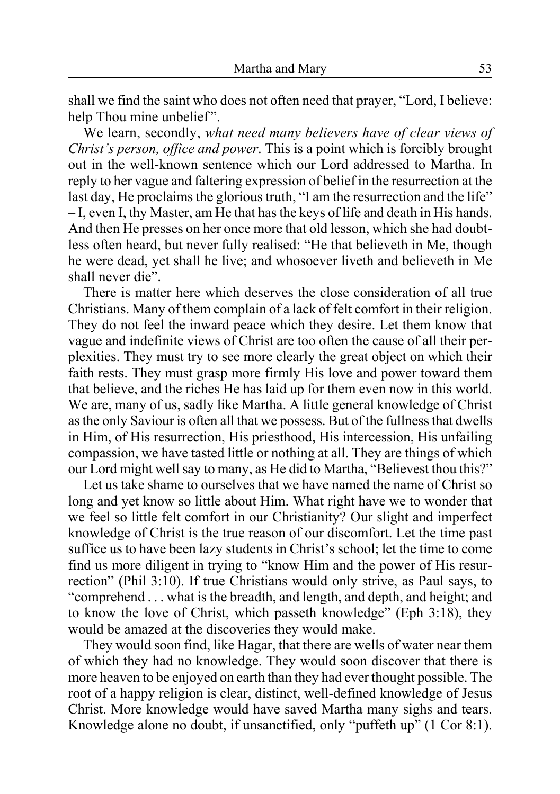shall we find the saint who does not often need that prayer, "Lord, I believe: help Thou mine unbelief".

We learn, secondly, *what need many believers have of clear views of Christ's person, office and power*. This is a point which is forcibly brought out in the well-known sentence which our Lord addressed to Martha. In reply to her vague and faltering expression of belief in the resurrection at the last day, He proclaims the glorious truth, "I am the resurrection and the life" – I, even I, thy Master, am He that has the keys of life and death in His hands. And then He presses on her once more that old lesson, which she had doubtless often heard, but never fully realised: "He that believeth in Me, though he were dead, yet shall he live; and whosoever liveth and believeth in Me shall never die".

There is matter here which deserves the close consideration of all true Christians. Many of them complain of a lack of felt comfort in their religion. They do not feel the inward peace which they desire. Let them know that vague and indefinite views of Christ are too often the cause of all their perplexities. They must try to see more clearly the great object on which their faith rests. They must grasp more firmly His love and power toward them that believe, and the riches He has laid up for them even now in this world. We are, many of us, sadly like Martha. A little general knowledge of Christ as the only Saviour is often all that we possess. But of the fullness that dwells in Him, of His resurrection, His priesthood, His intercession, His unfailing compassion, we have tasted little or nothing at all. They are things of which our Lord might well say to many, as He did to Martha, "Believest thou this?"

Let us take shame to ourselves that we have named the name of Christ so long and yet know so little about Him. What right have we to wonder that we feel so little felt comfort in our Christianity? Our slight and imperfect knowledge of Christ is the true reason of our discomfort. Let the time past suffice us to have been lazy students in Christ's school; let the time to come find us more diligent in trying to "know Him and the power of His resurrection" (Phil 3:10). If true Christians would only strive, as Paul says, to "comprehend . . . what is the breadth, and length, and depth, and height; and to know the love of Christ, which passeth knowledge" (Eph 3:18), they would be amazed at the discoveries they would make.

They would soon find, like Hagar, that there are wells of water near them of which they had no knowledge. They would soon discover that there is more heaven to be enjoyed on earth than they had ever thought possible. The root of a happy religion is clear, distinct, well-defined knowledge of Jesus Christ. More knowledge would have saved Martha many sighs and tears. Knowledge alone no doubt, if unsanctified, only "puffeth up" (1 Cor 8:1).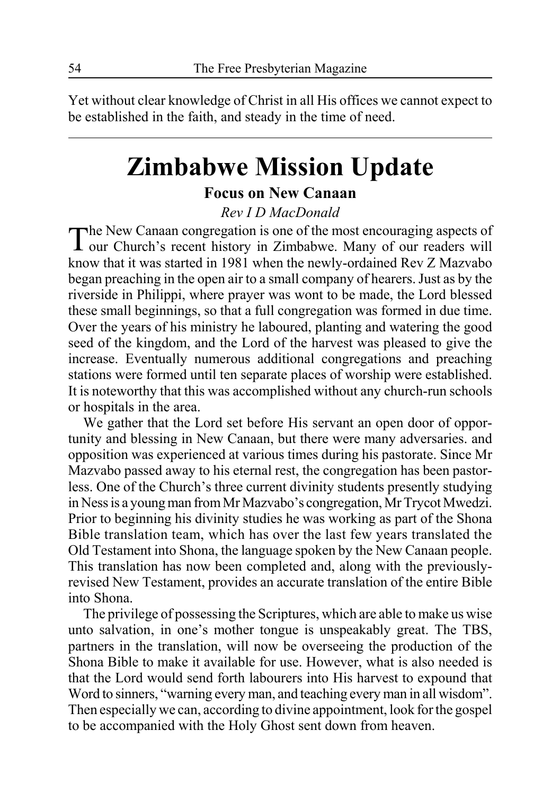Yet without clear knowledge of Christ in all His offices we cannot expect to be established in the faith, and steady in the time of need.

# **Zimbabwe Mission Update**

### **Focus on New Canaan**

*Rev I D MacDonald*

The New Canaan congregation is one of the most encouraging aspects of our Church's recent history in Zimbabwe. Many of our readers will know that it was started in 1981 when the newly-ordained Rev Z Mazvabo began preaching in the open air to a small company of hearers. Just as by the riverside in Philippi, where prayer was wont to be made, the Lord blessed these small beginnings, so that a full congregation was formed in due time. Over the years of his ministry he laboured, planting and watering the good seed of the kingdom, and the Lord of the harvest was pleased to give the increase. Eventually numerous additional congregations and preaching stations were formed until ten separate places of worship were established. It is noteworthy that this was accomplished without any church-run schools or hospitals in the area.

We gather that the Lord set before His servant an open door of opportunity and blessing in New Canaan, but there were many adversaries. and opposition was experienced at various times during his pastorate. Since Mr Mazvabo passed away to his eternal rest, the congregation has been pastorless. One of the Church's three current divinity students presently studying in Ness is a young man from Mr Mazvabo's congregation, Mr Trycot Mwedzi. Prior to beginning his divinity studies he was working as part of the Shona Bible translation team, which has over the last few years translated the Old Testament into Shona, the language spoken by the New Canaan people. This translation has now been completed and, along with the previouslyrevised New Testament, provides an accurate translation of the entire Bible into Shona.

The privilege of possessing the Scriptures, which are able to make us wise unto salvation, in one's mother tongue is unspeakably great. The TBS, partners in the translation, will now be overseeing the production of the Shona Bible to make it available for use. However, what is also needed is that the Lord would send forth labourers into His harvest to expound that Word to sinners, "warning every man, and teaching every man in all wisdom". Then especially we can, according to divine appointment, look for the gospel to be accompanied with the Holy Ghost sent down from heaven.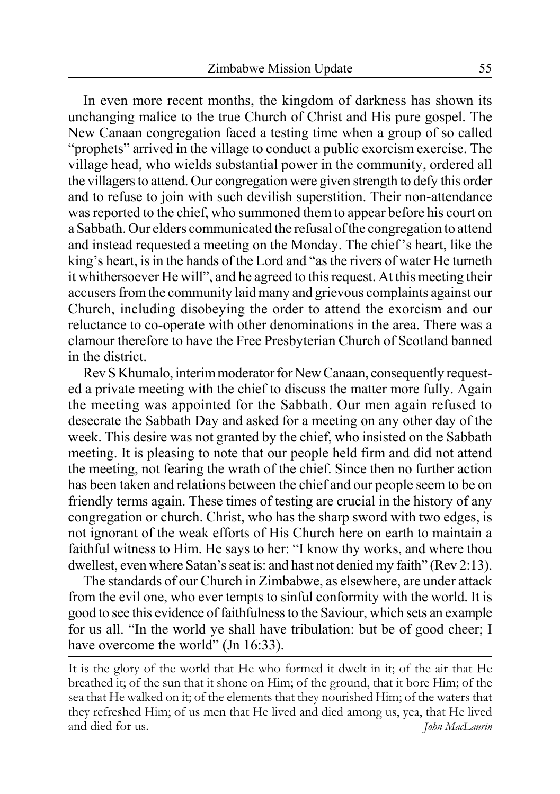In even more recent months, the kingdom of darkness has shown its unchanging malice to the true Church of Christ and His pure gospel. The New Canaan congregation faced a testing time when a group of so called "prophets" arrived in the village to conduct a public exorcism exercise. The village head, who wields substantial power in the community, ordered all the villagers to attend. Our congregation were given strength to defy this order and to refuse to join with such devilish superstition. Their non-attendance was reported to the chief, who summoned them to appear before his court on a Sabbath. Our elders communicated the refusal of the congregation to attend and instead requested a meeting on the Monday. The chief 's heart, like the king's heart, is in the hands of the Lord and "as the rivers of water He turneth it whithersoever He will", and he agreed to this request. At this meeting their accusers from the community laid many and grievous complaints against our Church, including disobeying the order to attend the exorcism and our reluctance to co-operate with other denominations in the area. There was a clamour therefore to have the Free Presbyterian Church of Scotland banned in the district.

Rev S Khumalo, interim moderator for New Canaan, consequently requested a private meeting with the chief to discuss the matter more fully. Again the meeting was appointed for the Sabbath. Our men again refused to desecrate the Sabbath Day and asked for a meeting on any other day of the week. This desire was not granted by the chief, who insisted on the Sabbath meeting. It is pleasing to note that our people held firm and did not attend the meeting, not fearing the wrath of the chief. Since then no further action has been taken and relations between the chief and our people seem to be on friendly terms again. These times of testing are crucial in the history of any congregation or church. Christ, who has the sharp sword with two edges, is not ignorant of the weak efforts of His Church here on earth to maintain a faithful witness to Him. He says to her: "I know thy works, and where thou dwellest, even where Satan's seat is: and hast not denied my faith" (Rev 2:13).

The standards of our Church in Zimbabwe, as elsewhere, are under attack from the evil one, who ever tempts to sinful conformity with the world. It is good to see this evidence of faithfulness to the Saviour, which sets an example for us all. "In the world ye shall have tribulation: but be of good cheer; I have overcome the world" (Jn 16:33).

It is the glory of the world that He who formed it dwelt in it; of the air that He breathed it; of the sun that it shone on Him; of the ground, that it bore Him; of the sea that He walked on it; of the elements that they nourished Him; of the waters that they refreshed Him; of us men that He lived and died among us, yea, that He lived and died for us. *John MacLaurin*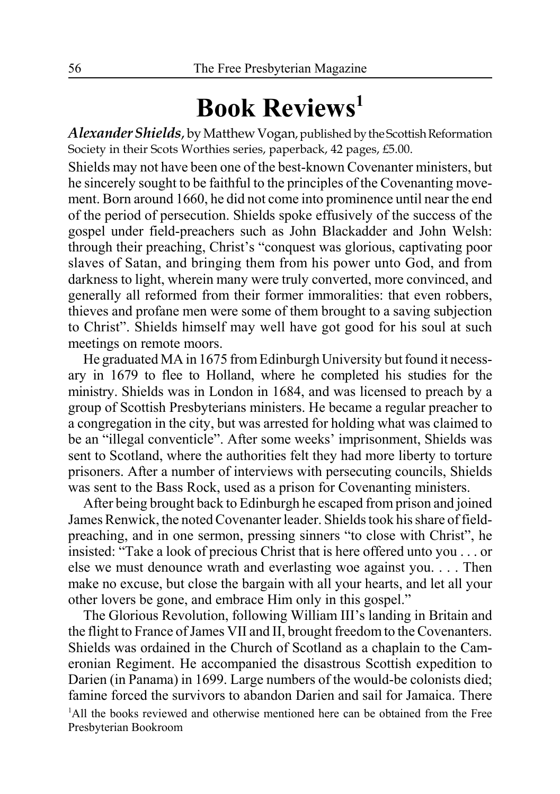# **Book Reviews1**

*Alexander Shields*, by Matthew Vogan, published by the Scottish Reformation Society in their Scots Worthies series, paperback, 42 pages, £5.00.

Shields may not have been one of the best-known Covenanter ministers, but he sincerely sought to be faithful to the principles of the Covenanting movement. Born around 1660, he did not come into prominence until near the end of the period of persecution. Shields spoke effusively of the success of the gospel under field-preachers such as John Blackadder and John Welsh: through their preaching, Christ's "conquest was glorious, captivating poor slaves of Satan, and bringing them from his power unto God, and from darkness to light, wherein many were truly converted, more convinced, and generally all reformed from their former immoralities: that even robbers, thieves and profane men were some of them brought to a saving subjection to Christ". Shields himself may well have got good for his soul at such meetings on remote moors.

He graduated MA in 1675 from Edinburgh University but found it necessary in 1679 to flee to Holland, where he completed his studies for the ministry. Shields was in London in 1684, and was licensed to preach by a group of Scottish Presbyterians ministers. He became a regular preacher to a congregation in the city, but was arrested for holding what was claimed to be an "illegal conventicle". After some weeks' imprisonment, Shields was sent to Scotland, where the authorities felt they had more liberty to torture prisoners. After a number of interviews with persecuting councils, Shields was sent to the Bass Rock, used as a prison for Covenanting ministers.

After being brought back to Edinburgh he escaped from prison and joined James Renwick, the noted Covenanter leader. Shields took his share of fieldpreaching, and in one sermon, pressing sinners "to close with Christ", he insisted: "Take a look of precious Christ that is here offered unto you . . . or else we must denounce wrath and everlasting woe against you. . . . Then make no excuse, but close the bargain with all your hearts, and let all your other lovers be gone, and embrace Him only in this gospel."

The Glorious Revolution, following William III's landing in Britain and the flight to France of James VII and II, brought freedom to the Covenanters. Shields was ordained in the Church of Scotland as a chaplain to the Cameronian Regiment. He accompanied the disastrous Scottish expedition to Darien (in Panama) in 1699. Large numbers of the would-be colonists died; famine forced the survivors to abandon Darien and sail for Jamaica. There <sup>1</sup>All the books reviewed and otherwise mentioned here can be obtained from the Free Presbyterian Bookroom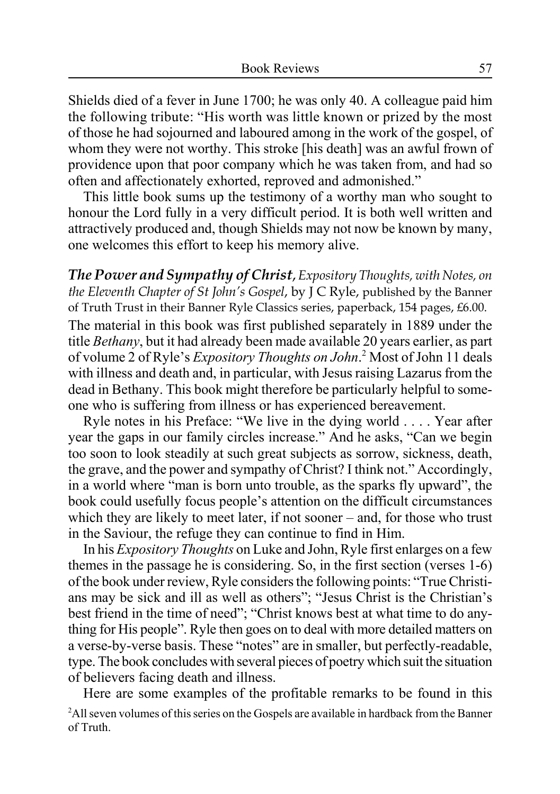Shields died of a fever in June 1700; he was only 40. A colleague paid him the following tribute: "His worth was little known or prized by the most of those he had sojourned and laboured among in the work of the gospel, of whom they were not worthy. This stroke [his death] was an awful frown of providence upon that poor company which he was taken from, and had so often and affectionately exhorted, reproved and admonished."

This little book sums up the testimony of a worthy man who sought to honour the Lord fully in a very difficult period. It is both well written and attractively produced and, though Shields may not now be known by many, one welcomes this effort to keep his memory alive.

*The Power and Sympathy of Christ*,*Expository Thoughts, with Notes, on the Eleventh Chapter of St John's Gospel*, by J C Ryle, published by the Banner of Truth Trust in their Banner Ryle Classics series, paperback, 154 pages, £6.00. The material in this book was first published separately in 1889 under the title *Bethany*, but it had already been made available 20 years earlier, as part of volume 2 of Ryle's *Expository Thoughts on John*.<sup>2</sup> Most of John 11 deals with illness and death and, in particular, with Jesus raising Lazarus from the dead in Bethany. This book might therefore be particularly helpful to someone who is suffering from illness or has experienced bereavement.

Ryle notes in his Preface: "We live in the dying world . . . . Year after year the gaps in our family circles increase." And he asks, "Can we begin too soon to look steadily at such great subjects as sorrow, sickness, death, the grave, and the power and sympathy of Christ? I think not." Accordingly, in a world where "man is born unto trouble, as the sparks fly upward", the book could usefully focus people's attention on the difficult circumstances which they are likely to meet later, if not sooner – and, for those who trust in the Saviour, the refuge they can continue to find in Him.

In his *Expository Thoughts* on Luke and John, Ryle first enlarges on a few themes in the passage he is considering. So, in the first section (verses 1-6) of the book under review, Ryle considers the following points: "True Christians may be sick and ill as well as others"; "Jesus Christ is the Christian's best friend in the time of need"; "Christ knows best at what time to do anything for His people". Ryle then goes on to deal with more detailed matters on a verse-by-verse basis. These "notes" are in smaller, but perfectly-readable, type. The book concludes with several pieces of poetry which suit the situation of believers facing death and illness.

Here are some examples of the profitable remarks to be found in this <sup>2</sup>All seven volumes of this series on the Gospels are available in hardback from the Banner of Truth.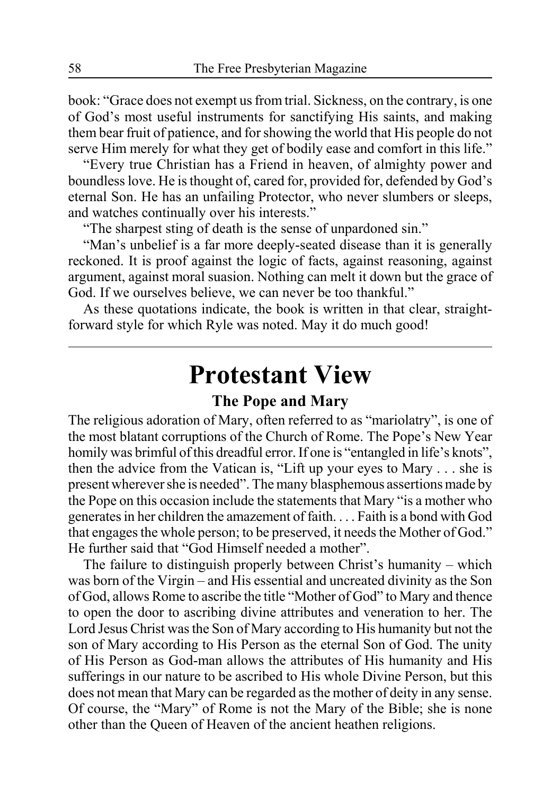book: "Grace does not exempt us from trial. Sickness, on the contrary, is one of God's most useful instruments for sanctifying His saints, and making them bear fruit of patience, and for showing the world that His people do not serve Him merely for what they get of bodily ease and comfort in this life."

"Every true Christian has a Friend in heaven, of almighty power and boundless love. He is thought of, cared for, provided for, defended by God's eternal Son. He has an unfailing Protector, who never slumbers or sleeps, and watches continually over his interests."

"The sharpest sting of death is the sense of unpardoned sin."

"Man's unbelief is a far more deeply-seated disease than it is generally reckoned. It is proof against the logic of facts, against reasoning, against argument, against moral suasion. Nothing can melt it down but the grace of God. If we ourselves believe, we can never be too thankful."

As these quotations indicate, the book is written in that clear, straightforward style for which Ryle was noted. May it do much good!

## **Protestant View**

### **The Pope and Mary**

The religious adoration of Mary, often referred to as "mariolatry", is one of the most blatant corruptions of the Church of Rome. The Pope's New Year homily was brimful of this dreadful error. If one is "entangled in life's knots", then the advice from the Vatican is, "Lift up your eyes to Mary . . . she is present wherever she is needed". The many blasphemous assertions made by the Pope on this occasion include the statements that Mary "is a mother who generates in her children the amazement of faith. . . . Faith is a bond with God that engages the whole person; to be preserved, it needs the Mother of God." He further said that "God Himself needed a mother".

The failure to distinguish properly between Christ's humanity – which was born of the Virgin – and His essential and uncreated divinity as the Son of God, allows Rome to ascribe the title "Mother of God" to Mary and thence to open the door to ascribing divine attributes and veneration to her. The Lord Jesus Christ was the Son of Mary according to His humanity but not the son of Mary according to His Person as the eternal Son of God. The unity of His Person as God-man allows the attributes of His humanity and His sufferings in our nature to be ascribed to His whole Divine Person, but this does not mean that Mary can be regarded as the mother of deity in any sense. Of course, the "Mary" of Rome is not the Mary of the Bible; she is none other than the Queen of Heaven of the ancient heathen religions.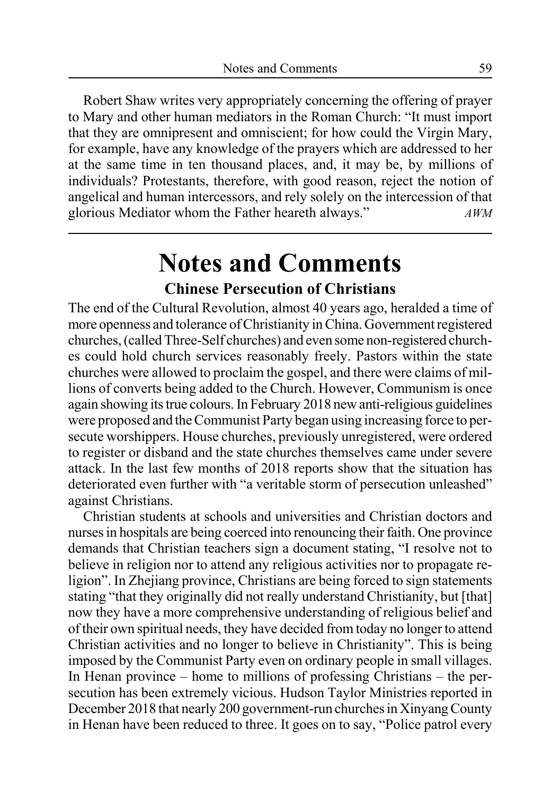Robert Shaw writes very appropriately concerning the offering of prayer to Mary and other human mediators in the Roman Church: "It must import that they are omnipresent and omniscient; for how could the Virgin Mary, for example, have any knowledge of the prayers which are addressed to her at the same time in ten thousand places, and, it may be, by millions of individuals? Protestants, therefore, with good reason, reject the notion of angelical and human intercessors, and rely solely on the intercession of that glorious Mediator whom the Father heareth always." *AWM*

# **Notes and Comments**

### **Chinese Persecution of Christians**

The end of the Cultural Revolution, almost 40 years ago, heralded a time of more openness and tolerance of Christianity in China. Government registered churches, (called Three-Self churches) and even some non-registered churches could hold church services reasonably freely. Pastors within the state churches were allowed to proclaim the gospel, and there were claims of millions of converts being added to the Church. However, Communism is once again showing its true colours. In February 2018 new anti-religious guidelines were proposed and the Communist Party began using increasing force to persecute worshippers. House churches, previously unregistered, were ordered to register or disband and the state churches themselves came under severe attack. In the last few months of 2018 reports show that the situation has deteriorated even further with "a veritable storm of persecution unleashed" against Christians.

Christian students at schools and universities and Christian doctors and nurses in hospitals are being coerced into renouncing their faith. One province demands that Christian teachers sign a document stating, "I resolve not to believe in religion nor to attend any religious activities nor to propagate religion". In Zhejiang province, Christians are being forced to sign statements stating "that they originally did not really understand Christianity, but [that] now they have a more comprehensive understanding of religious belief and of their own spiritual needs, they have decided from today no longer to attend Christian activities and no longer to believe in Christianity". This is being imposed by the Communist Party even on ordinary people in small villages. In Henan province – home to millions of professing Christians – the persecution has been extremely vicious. Hudson Taylor Ministries reported in December 2018 that nearly 200 government-run churches in Xinyang County in Henan have been reduced to three. It goes on to say, "Police patrol every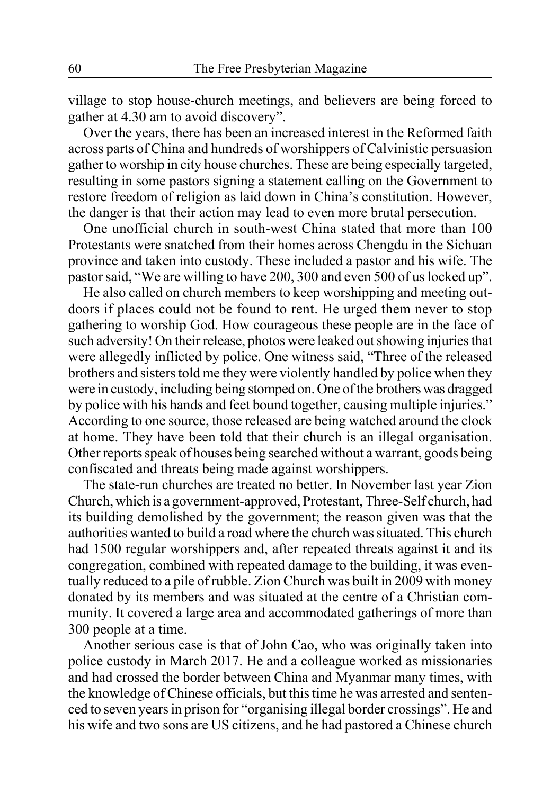village to stop house-church meetings, and believers are being forced to gather at 4.30 am to avoid discovery".

Over the years, there has been an increased interest in the Reformed faith across parts of China and hundreds of worshippers of Calvinistic persuasion gather to worship in city house churches. These are being especially targeted, resulting in some pastors signing a statement calling on the Government to restore freedom of religion as laid down in China's constitution. However, the danger is that their action may lead to even more brutal persecution.

One unofficial church in south-west China stated that more than 100 Protestants were snatched from their homes across Chengdu in the Sichuan province and taken into custody. These included a pastor and his wife. The pastor said, "We are willing to have 200, 300 and even 500 of us locked up".

He also called on church members to keep worshipping and meeting outdoors if places could not be found to rent. He urged them never to stop gathering to worship God. How courageous these people are in the face of such adversity! On their release, photos were leaked out showing injuries that were allegedly inflicted by police. One witness said, "Three of the released brothers and sisters told me they were violently handled by police when they were in custody, including being stomped on. One of the brothers was dragged by police with his hands and feet bound together, causing multiple injuries." According to one source, those released are being watched around the clock at home. They have been told that their church is an illegal organisation. Other reports speak of houses being searched without a warrant, goods being confiscated and threats being made against worshippers.

The state-run churches are treated no better. In November last year Zion Church, which is a government-approved, Protestant, Three-Self church, had its building demolished by the government; the reason given was that the authorities wanted to build a road where the church was situated. This church had 1500 regular worshippers and, after repeated threats against it and its congregation, combined with repeated damage to the building, it was eventually reduced to a pile of rubble. Zion Church was built in 2009 with money donated by its members and was situated at the centre of a Christian community. It covered a large area and accommodated gatherings of more than 300 people at a time.

Another serious case is that of John Cao, who was originally taken into police custody in March 2017. He and a colleague worked as missionaries and had crossed the border between China and Myanmar many times, with the knowledge of Chinese officials, but this time he was arrested and sentenced to seven years in prison for "organising illegal border crossings". He and his wife and two sons are US citizens, and he had pastored a Chinese church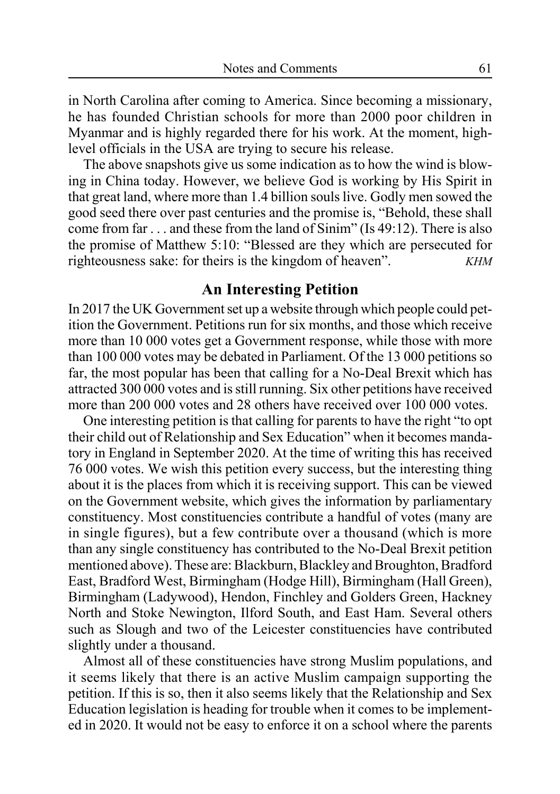in North Carolina after coming to America. Since becoming a missionary, he has founded Christian schools for more than 2000 poor children in Myanmar and is highly regarded there for his work. At the moment, highlevel officials in the USA are trying to secure his release.

The above snapshots give us some indication as to how the wind is blowing in China today. However, we believe God is working by His Spirit in that great land, where more than 1.4 billion souls live. Godly men sowed the good seed there over past centuries and the promise is, "Behold, these shall come from far . . . and these from the land of Sinim" (Is 49:12). There is also the promise of Matthew 5:10: "Blessed are they which are persecuted for righteousness sake: for theirs is the kingdom of heaven". *KHM*

### **An Interesting Petition**

In 2017 the UK Government set up a website through which people could petition the Government. Petitions run for six months, and those which receive more than 10 000 votes get a Government response, while those with more than 100 000 votes may be debated in Parliament. Of the 13 000 petitions so far, the most popular has been that calling for a No-Deal Brexit which has attracted 300 000 votes and is still running. Six other petitions have received more than 200 000 votes and 28 others have received over 100 000 votes.

One interesting petition is that calling for parents to have the right "to opt their child out of Relationship and Sex Education" when it becomes mandatory in England in September 2020. At the time of writing this has received 76 000 votes. We wish this petition every success, but the interesting thing about it is the places from which it is receiving support. This can be viewed on the Government website, which gives the information by parliamentary constituency. Most constituencies contribute a handful of votes (many are in single figures), but a few contribute over a thousand (which is more than any single constituency has contributed to the No-Deal Brexit petition mentioned above). These are: Blackburn, Blackley and Broughton, Bradford East, Bradford West, Birmingham (Hodge Hill), Birmingham (Hall Green), Birmingham (Ladywood), Hendon, Finchley and Golders Green, Hackney North and Stoke Newington, Ilford South, and East Ham. Several others such as Slough and two of the Leicester constituencies have contributed slightly under a thousand.

Almost all of these constituencies have strong Muslim populations, and it seems likely that there is an active Muslim campaign supporting the petition. If this is so, then it also seems likely that the Relationship and Sex Education legislation is heading for trouble when it comes to be implemented in 2020. It would not be easy to enforce it on a school where the parents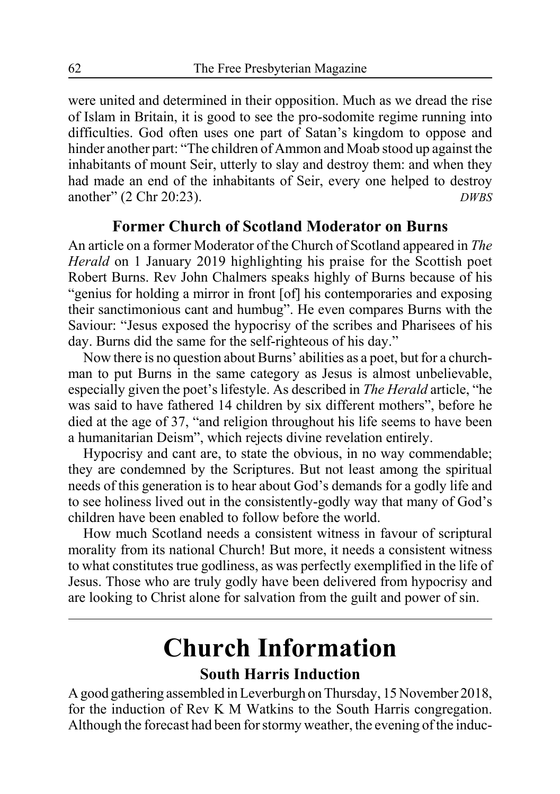were united and determined in their opposition. Much as we dread the rise of Islam in Britain, it is good to see the pro-sodomite regime running into difficulties. God often uses one part of Satan's kingdom to oppose and hinder another part: "The children of Ammon and Moab stood up against the inhabitants of mount Seir, utterly to slay and destroy them: and when they had made an end of the inhabitants of Seir, every one helped to destroy another" (2 Chr 20:23). *DWBS*

### **Former Church of Scotland Moderator on Burns**

An article on a former Moderator of the Church of Scotland appeared in *The Herald* on 1 January 2019 highlighting his praise for the Scottish poet Robert Burns. Rev John Chalmers speaks highly of Burns because of his "genius for holding a mirror in front [of] his contemporaries and exposing their sanctimonious cant and humbug". He even compares Burns with the Saviour: "Jesus exposed the hypocrisy of the scribes and Pharisees of his day. Burns did the same for the self-righteous of his day."

Now there is no question about Burns' abilities as a poet, but for a churchman to put Burns in the same category as Jesus is almost unbelievable, especially given the poet's lifestyle. As described in *The Herald* article, "he was said to have fathered 14 children by six different mothers", before he died at the age of 37, "and religion throughout his life seems to have been a humanitarian Deism", which rejects divine revelation entirely.

Hypocrisy and cant are, to state the obvious, in no way commendable; they are condemned by the Scriptures. But not least among the spiritual needs of this generation is to hear about God's demands for a godly life and to see holiness lived out in the consistently-godly way that many of God's children have been enabled to follow before the world.

How much Scotland needs a consistent witness in favour of scriptural morality from its national Church! But more, it needs a consistent witness to what constitutes true godliness, as was perfectly exemplified in the life of Jesus. Those who are truly godly have been delivered from hypocrisy and are looking to Christ alone for salvation from the guilt and power of sin.

### **Church Information South Harris Induction**

A good gathering assembled in Leverburgh on Thursday, 15 November 2018, for the induction of Rev K M Watkins to the South Harris congregation. Although the forecast had been for stormy weather, the evening of the induc-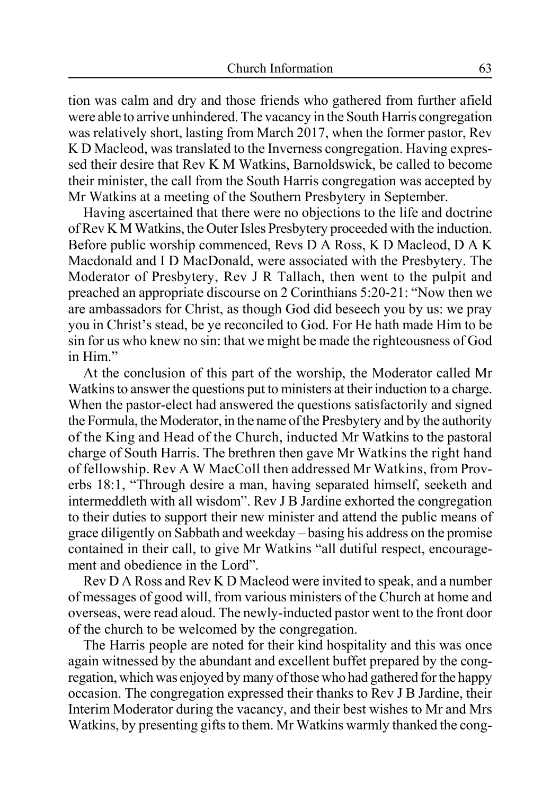tion was calm and dry and those friends who gathered from further afield were able to arrive unhindered. The vacancy in the South Harris congregation was relatively short, lasting from March 2017, when the former pastor, Rev K D Macleod, was translated to the Inverness congregation. Having expressed their desire that Rev K M Watkins, Barnoldswick, be called to become their minister, the call from the South Harris congregation was accepted by Mr Watkins at a meeting of the Southern Presbytery in September.

Having ascertained that there were no objections to the life and doctrine of Rev K M Watkins, the Outer Isles Presbytery proceeded with the induction. Before public worship commenced, Revs D A Ross, K D Macleod, D A K Macdonald and I D MacDonald, were associated with the Presbytery. The Moderator of Presbytery, Rev J R Tallach, then went to the pulpit and preached an appropriate discourse on 2 Corinthians 5:20-21: "Now then we are ambassadors for Christ, as though God did beseech you by us: we pray you in Christ's stead, be ye reconciled to God. For He hath made Him to be sin for us who knew no sin: that we might be made the righteousness of God in Him."

At the conclusion of this part of the worship, the Moderator called Mr Watkins to answer the questions put to ministers at their induction to a charge. When the pastor-elect had answered the questions satisfactorily and signed the Formula, the Moderator, in the name of the Presbytery and by the authority of the King and Head of the Church, inducted Mr Watkins to the pastoral charge of South Harris. The brethren then gave Mr Watkins the right hand of fellowship. Rev A W MacColl then addressed Mr Watkins, from Proverbs 18:1, "Through desire a man, having separated himself, seeketh and intermeddleth with all wisdom". Rev J B Jardine exhorted the congregation to their duties to support their new minister and attend the public means of grace diligently on Sabbath and weekday – basing his address on the promise contained in their call, to give Mr Watkins "all dutiful respect, encouragement and obedience in the Lord".

Rev D A Ross and Rev K D Macleod were invited to speak, and a number of messages of good will, from various ministers of the Church at home and overseas, were read aloud. The newly-inducted pastor went to the front door of the church to be welcomed by the congregation.

The Harris people are noted for their kind hospitality and this was once again witnessed by the abundant and excellent buffet prepared by the congregation, which was enjoyed by many of those who had gathered for the happy occasion. The congregation expressed their thanks to Rev J B Jardine, their Interim Moderator during the vacancy, and their best wishes to Mr and Mrs Watkins, by presenting gifts to them. Mr Watkins warmly thanked the cong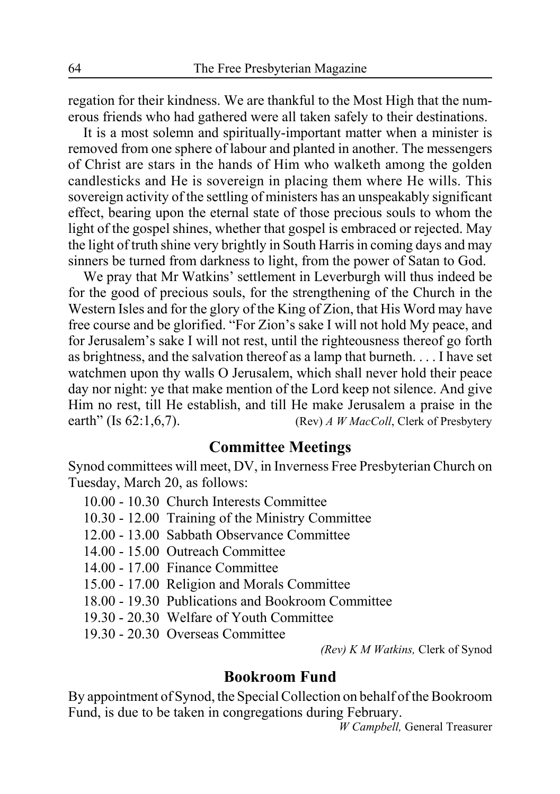regation for their kindness. We are thankful to the Most High that the numerous friends who had gathered were all taken safely to their destinations.

It is a most solemn and spiritually-important matter when a minister is removed from one sphere of labour and planted in another. The messengers of Christ are stars in the hands of Him who walketh among the golden candlesticks and He is sovereign in placing them where He wills. This sovereign activity of the settling of ministers has an unspeakably significant effect, bearing upon the eternal state of those precious souls to whom the light of the gospel shines, whether that gospel is embraced or rejected. May the light of truth shine very brightly in South Harris in coming days and may sinners be turned from darkness to light, from the power of Satan to God.

We pray that Mr Watkins' settlement in Leverburgh will thus indeed be for the good of precious souls, for the strengthening of the Church in the Western Isles and for the glory of the King of Zion, that His Word may have free course and be glorified. "For Zion's sake I will not hold My peace, and for Jerusalem's sake I will not rest, until the righteousness thereof go forth as brightness, and the salvation thereof as a lamp that burneth. . . . I have set watchmen upon thy walls O Jerusalem, which shall never hold their peace day nor night: ye that make mention of the Lord keep not silence. And give Him no rest, till He establish, and till He make Jerusalem a praise in the earth" (Is 62:1,6,7). (Rev) *A W MacColl*, Clerk of Presbytery

### **Committee Meetings**

Synod committees will meet, DV, in Inverness Free Presbyterian Church on Tuesday, March 20, as follows:

- 10.00 10.30 Church Interests Committee
- 10.30 12.00 Training of the Ministry Committee
- 12.00 13.00 Sabbath Observance Committee
- 14.00 15.00 Outreach Committee
- 14.00 17.00 Finance Committee
- 15.00 17.00 Religion and Morals Committee
- 18.00 19.30 Publications and Bookroom Committee
- 19.30 20.30 Welfare of Youth Committee
- 19.30 20.30 Overseas Committee

*(Rev) K M Watkins,* Clerk of Synod

### **Bookroom Fund**

By appointment of Synod, the Special Collection on behalf of the Bookroom Fund, is due to be taken in congregations during February.

*W Campbell,* General Treasurer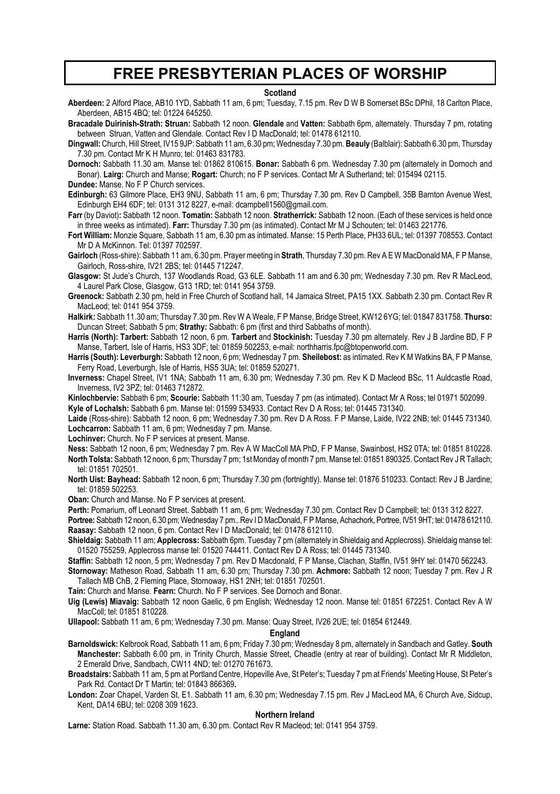### **FREE PRESBYTERIAN PLACES OF WORSHIP**

#### **Scotland**

**Aberdeen:** 2 Alford Place, AB10 1YD, Sabbath 11 am, 6 pm; Tuesday, 7.15 pm. Rev D W B Somerset BSc DPhil, 18 Carlton Place, Aberdeen, AB15 4BQ; tel: 01224 645250.

**Bracadale Duirinish-Strath: Struan:** Sabbath 12 noon. **Glendale** and **Vatten:** Sabbath 6pm, alternately. Thursday 7 pm, rotating between Struan, Vatten and Glendale. Contact Rev I D MacDonald; tel: 01478 612110.

**Dingwall:** Church, Hill Street, IV15 9JP: Sabbath 11 am, 6.30 pm; Wednesday 7.30 pm. **Beauly** (Balblair): Sabbath 6.30 pm, Thursday 7.30 pm. Contact Mr K H Munro; tel: 01463 831783.

**Dornoch:** Sabbath 11.30 am. Manse tel: 01862 810615. **Bonar:** Sabbath 6 pm. Wednesday 7.30 pm (alternately in Dornoch and Bonar). **Lairg:** Church and Manse; **Rogart:** Church; no F P services. Contact Mr A Sutherland; tel: 015494 02115.

**Dundee:** Manse. No F P Church services.

**Edinburgh:** 63 Gilmore Place, EH3 9NU, Sabbath 11 am, 6 pm; Thursday 7.30 pm. Rev D Campbell, 35B Barnton Avenue West, Edinburgh EH4 6DF; tel: 0131 312 8227, e-mail: dcampbell1560@gmail.com.

**Farr** (by Daviot)**:** Sabbath 12 noon. **Tomatin:** Sabbath 12 noon. **Stratherrick:** Sabbath 12 noon. (Each of these services is held once in three weeks as intimated). **Farr:** Thursday 7.30 pm (as intimated). Contact Mr M J Schouten; tel: 01463 221776.

**Fort William:** Monzie Square, Sabbath 11 am, 6.30 pm as intimated. Manse: 15 Perth Place, PH33 6UL; tel: 01397 708553. Contact Mr D A McKinnon. Tel: 01397 702597.

**Gairloch** (Ross-shire): Sabbath 11 am, 6.30 pm. Prayer meeting in **Strath**, Thursday 7.30 pm. Rev A E W MacDonald MA, F P Manse, Gairloch, Ross-shire, IV21 2BS; tel: 01445 712247.

**Glasgow:** St Jude's Church, 137 Woodlands Road, G3 6LE. Sabbath 11 am and 6.30 pm; Wednesday 7.30 pm. Rev R MacLeod, 4 Laurel Park Close, Glasgow, G13 1RD; tel: 0141 954 3759.

**Greenock:** Sabbath 2.30 pm, held in Free Church of Scotland hall, 14 Jamaica Street, PA15 1XX. Sabbath 2.30 pm. Contact Rev R MacLeod; tel: 0141 954 3759.

**Halkirk:** Sabbath 11.30 am; Thursday 7.30 pm. Rev W A Weale, F P Manse, Bridge Street, KW12 6YG; tel: 01847 831758. **Thurso:** Duncan Street; Sabbath 5 pm; **Strathy:** Sabbath: 6 pm (first and third Sabbaths of month).

**Harris (North): Tarbert:** Sabbath 12 noon, 6 pm. **Tarbert** and **Stockinish:** Tuesday 7.30 pm alternately. Rev J B Jardine BD, F P Manse, Tarbert, Isle of Harris, HS3 3DF; tel: 01859 502253, e-mail: northharris.fpc@btopenworld.com.

**Harris (South): Leverburgh:** Sabbath 12 noon, 6 pm; Wednesday 7 pm. **Sheilebost:** as intimated. Rev K M Watkins BA, F P Manse, Ferry Road, Leverburgh, Isle of Harris, HS5 3UA; tel: 01859 520271.

**Inverness:** Chapel Street, IV1 1NA; Sabbath 11 am, 6.30 pm; Wednesday 7.30 pm. Rev K D Macleod BSc, 11 Auldcastle Road, Inverness, IV2 3PZ; tel: 01463 712872.

**Kinlochbervie:** Sabbath 6 pm; **Scourie:** Sabbath 11:30 am, Tuesday 7 pm (as intimated). Contact Mr A Ross; tel 01971 502099. **Kyle of Lochalsh:** Sabbath 6 pm. Manse tel: 01599 534933. Contact Rev D A Ross; tel: 01445 731340.

**Laide** (Ross-shire): Sabbath 12 noon, 6 pm; Wednesday 7.30 pm. Rev D A Ross. F P Manse, Laide, IV22 2NB; tel: 01445 731340. **Lochcarron:** Sabbath 11 am, 6 pm; Wednesday 7 pm. Manse.

**Lochinver:** Church. No F P services at present. Manse.

**Ness:** Sabbath 12 noon, 6 pm; Wednesday 7 pm. Rev A W MacColl MA PhD, F P Manse, Swainbost, HS2 0TA; tel: 01851 810228. **North Tolsta:** Sabbath 12 noon, 6 pm; Thursday 7 pm; 1st Monday of month 7 pm. Manse tel: 01851 890325. Contact Rev J R Tallach; tel: 01851 702501.

**North Uist: Bayhead:** Sabbath 12 noon, 6 pm; Thursday 7.30 pm (fortnightly). Manse tel: 01876 510233. Contact: Rev J B Jardine; tel: 01859 502253.

**Oban:** Church and Manse. No F P services at present.

**Perth:** Pomarium, off Leonard Street. Sabbath 11 am, 6 pm; Wednesday 7.30 pm. Contact Rev D Campbell; tel: 0131 312 8227.

**Portree:** Sabbath 12 noon, 6.30 pm; Wednesday 7 pm.. Rev I D MacDonald, F P Manse, Achachork, Portree, IV51 9HT; tel: 01478 612110. **Raasay:** Sabbath 12 noon, 6 pm. Contact Rev I D MacDonald; tel: 01478 612110.

**Shieldaig:** Sabbath 11 am; **Applecross:** Sabbath 6pm. Tuesday 7 pm (alternately in Shieldaig and Applecross). Shieldaig manse tel: 01520 755259, Applecross manse tel: 01520 744411. Contact Rev D A Ross; tel: 01445 731340.

**Staffin:** Sabbath 12 noon, 5 pm; Wednesday 7 pm. Rev D Macdonald, F P Manse, Clachan, Staffin, IV51 9HY tel: 01470 562243. **Stornoway:** Matheson Road, Sabbath 11 am, 6.30 pm; Thursday 7.30 pm. **Achmore:** Sabbath 12 noon; Tuesday 7 pm. Rev J R

Tallach MB ChB, 2 Fleming Place, Stornoway, HS1 2NH; tel: 01851 702501. **Tain:** Church and Manse. **Fearn:** Church. No F P services. See Dornoch and Bonar.

**Uig (Lewis) Miavaig:** Sabbath 12 noon Gaelic, 6 pm English; Wednesday 12 noon. Manse tel: 01851 672251. Contact Rev A W MacColl; tel: 01851 810228.

**Ullapool:** Sabbath 11 am, 6 pm; Wednesday 7.30 pm. Manse: Quay Street, IV26 2UE; tel: 01854 612449.

#### **England**

**Barnoldswick:** Kelbrook Road, Sabbath 11 am, 6 pm; Friday 7.30 pm; Wednesday 8 pm, alternately in Sandbach and Gatley. **South Manchester:** Sabbath 6.00 pm, in Trinity Church, Massie Street, Cheadle (entry at rear of building). Contact Mr R Middleton, 2 Emerald Drive, Sandbach, CW11 4ND; tel: 01270 761673.

**Broadstairs:** Sabbath 11 am, 5 pm at Portland Centre, Hopeville Ave, St Peter's; Tuesday 7 pm at Friends' Meeting House, St Peter's Park Rd. Contact Dr T Martin; tel: 01843 866369**.**

**London:** Zoar Chapel, Varden St, E1. Sabbath 11 am, 6.30 pm; Wednesday 7.15 pm. Rev J MacLeod MA, 6 Church Ave, Sidcup, Kent, DA14 6BU; tel: 0208 309 1623.

#### **Northern Ireland**

**Larne:** Station Road. Sabbath 11.30 am, 6.30 pm. Contact Rev R Macleod; tel: 0141 954 3759.